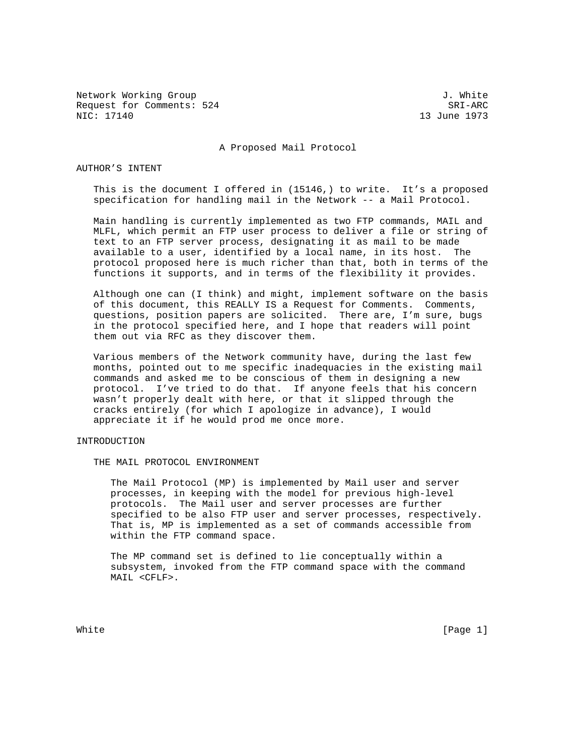Network Working Group 3. White 3. White 3. White 3. White 3. White 3. White 3. White 3. White 3. White 3. White 3. White 3. White 3. White 3. White 3. White 3. White 3. White 3. White 3. White 3. White 3. White 3. White 3. Request for Comments: 524 SRI-ARC<br>NIC: 17140 1973 SRI-ARC

13 June 1973

A Proposed Mail Protocol

## AUTHOR'S INTENT

 This is the document I offered in (15146,) to write. It's a proposed specification for handling mail in the Network -- a Mail Protocol.

 Main handling is currently implemented as two FTP commands, MAIL and MLFL, which permit an FTP user process to deliver a file or string of text to an FTP server process, designating it as mail to be made available to a user, identified by a local name, in its host. The protocol proposed here is much richer than that, both in terms of the functions it supports, and in terms of the flexibility it provides.

 Although one can (I think) and might, implement software on the basis of this document, this REALLY IS a Request for Comments. Comments, questions, position papers are solicited. There are, I'm sure, bugs in the protocol specified here, and I hope that readers will point them out via RFC as they discover them.

 Various members of the Network community have, during the last few months, pointed out to me specific inadequacies in the existing mail commands and asked me to be conscious of them in designing a new protocol. I've tried to do that. If anyone feels that his concern wasn't properly dealt with here, or that it slipped through the cracks entirely (for which I apologize in advance), I would appreciate it if he would prod me once more.

# INTRODUCTION

THE MAIL PROTOCOL ENVIRONMENT

 The Mail Protocol (MP) is implemented by Mail user and server processes, in keeping with the model for previous high-level protocols. The Mail user and server processes are further specified to be also FTP user and server processes, respectively. That is, MP is implemented as a set of commands accessible from within the FTP command space.

 The MP command set is defined to lie conceptually within a subsystem, invoked from the FTP command space with the command MAIL <CFLF>.

White  $[Page 1]$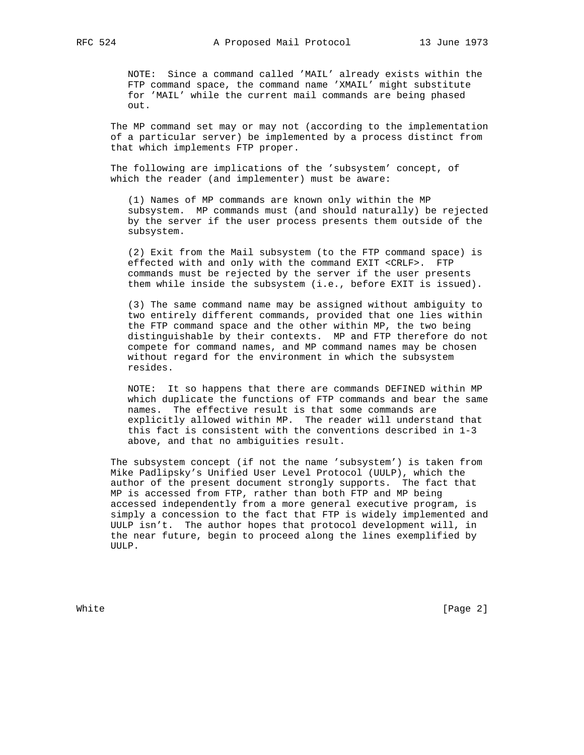NOTE: Since a command called 'MAIL' already exists within the FTP command space, the command name 'XMAIL' might substitute for 'MAIL' while the current mail commands are being phased out.

 The MP command set may or may not (according to the implementation of a particular server) be implemented by a process distinct from that which implements FTP proper.

 The following are implications of the 'subsystem' concept, of which the reader (and implementer) must be aware:

 (1) Names of MP commands are known only within the MP subsystem. MP commands must (and should naturally) be rejected by the server if the user process presents them outside of the subsystem.

 (2) Exit from the Mail subsystem (to the FTP command space) is effected with and only with the command EXIT <CRLF>. FTP commands must be rejected by the server if the user presents them while inside the subsystem (i.e., before EXIT is issued).

 (3) The same command name may be assigned without ambiguity to two entirely different commands, provided that one lies within the FTP command space and the other within MP, the two being distinguishable by their contexts. MP and FTP therefore do not compete for command names, and MP command names may be chosen without regard for the environment in which the subsystem resides.

 NOTE: It so happens that there are commands DEFINED within MP which duplicate the functions of FTP commands and bear the same names. The effective result is that some commands are explicitly allowed within MP. The reader will understand that this fact is consistent with the conventions described in 1-3 above, and that no ambiguities result.

 The subsystem concept (if not the name 'subsystem') is taken from Mike Padlipsky's Unified User Level Protocol (UULP), which the author of the present document strongly supports. The fact that MP is accessed from FTP, rather than both FTP and MP being accessed independently from a more general executive program, is simply a concession to the fact that FTP is widely implemented and UULP isn't. The author hopes that protocol development will, in the near future, begin to proceed along the lines exemplified by UULP.

White **Example 2** and the contract of the contract of the contract of  $[Page\ 2]$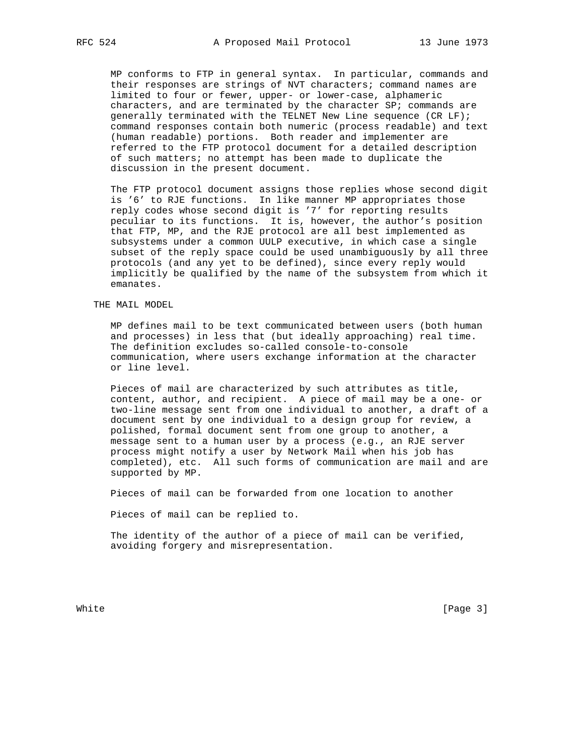MP conforms to FTP in general syntax. In particular, commands and their responses are strings of NVT characters; command names are limited to four or fewer, upper- or lower-case, alphameric characters, and are terminated by the character SP; commands are generally terminated with the TELNET New Line sequence (CR LF); command responses contain both numeric (process readable) and text (human readable) portions. Both reader and implementer are referred to the FTP protocol document for a detailed description of such matters; no attempt has been made to duplicate the discussion in the present document.

 The FTP protocol document assigns those replies whose second digit is '6' to RJE functions. In like manner MP appropriates those reply codes whose second digit is '7' for reporting results peculiar to its functions. It is, however, the author's position that FTP, MP, and the RJE protocol are all best implemented as subsystems under a common UULP executive, in which case a single subset of the reply space could be used unambiguously by all three protocols (and any yet to be defined), since every reply would implicitly be qualified by the name of the subsystem from which it emanates.

THE MAIL MODEL

 MP defines mail to be text communicated between users (both human and processes) in less that (but ideally approaching) real time. The definition excludes so-called console-to-console communication, where users exchange information at the character or line level.

 Pieces of mail are characterized by such attributes as title, content, author, and recipient. A piece of mail may be a one- or two-line message sent from one individual to another, a draft of a document sent by one individual to a design group for review, a polished, formal document sent from one group to another, a message sent to a human user by a process (e.g., an RJE server process might notify a user by Network Mail when his job has completed), etc. All such forms of communication are mail and are supported by MP.

Pieces of mail can be forwarded from one location to another

Pieces of mail can be replied to.

 The identity of the author of a piece of mail can be verified, avoiding forgery and misrepresentation.

White **Example 2** (Page 3)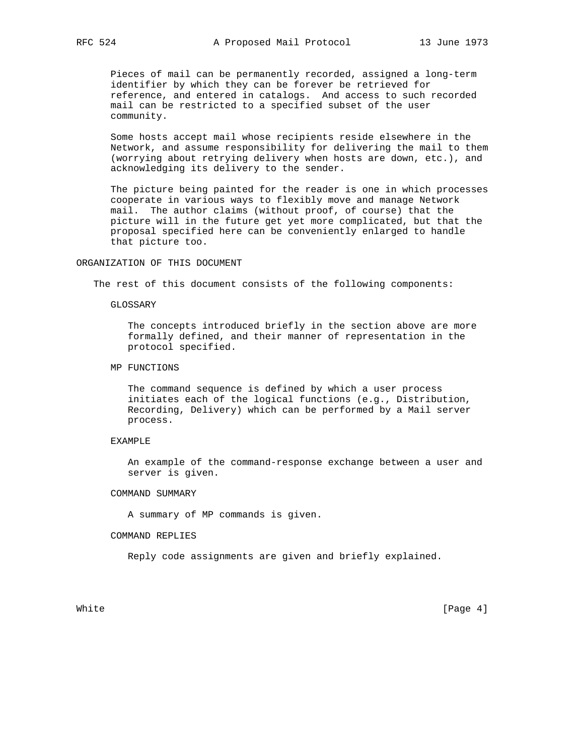Pieces of mail can be permanently recorded, assigned a long-term identifier by which they can be forever be retrieved for reference, and entered in catalogs. And access to such recorded mail can be restricted to a specified subset of the user community.

 Some hosts accept mail whose recipients reside elsewhere in the Network, and assume responsibility for delivering the mail to them (worrying about retrying delivery when hosts are down, etc.), and acknowledging its delivery to the sender.

 The picture being painted for the reader is one in which processes cooperate in various ways to flexibly move and manage Network mail. The author claims (without proof, of course) that the picture will in the future get yet more complicated, but that the proposal specified here can be conveniently enlarged to handle that picture too.

# ORGANIZATION OF THIS DOCUMENT

The rest of this document consists of the following components:

GLOSSARY

 The concepts introduced briefly in the section above are more formally defined, and their manner of representation in the protocol specified.

MP FUNCTIONS

 The command sequence is defined by which a user process initiates each of the logical functions (e.g., Distribution, Recording, Delivery) which can be performed by a Mail server process.

### EXAMPLE

 An example of the command-response exchange between a user and server is given.

## COMMAND SUMMARY

A summary of MP commands is given.

#### COMMAND REPLIES

Reply code assignments are given and briefly explained.

White  $[Page 4]$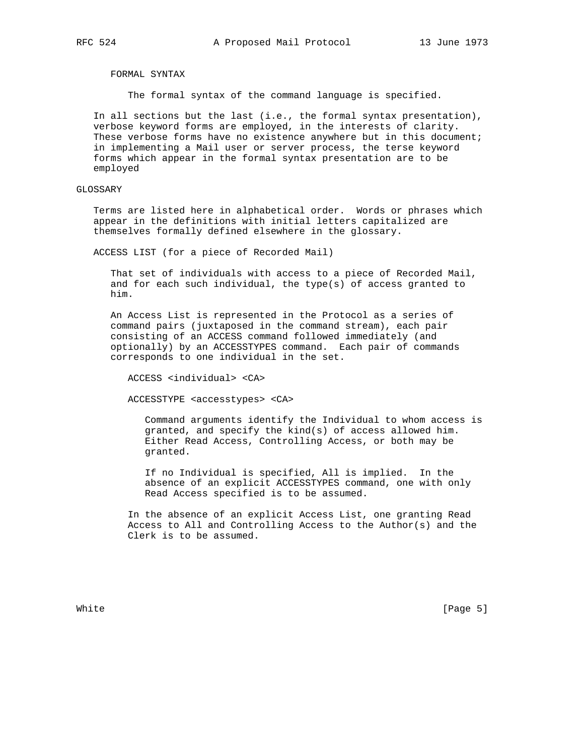FORMAL SYNTAX

The formal syntax of the command language is specified.

 In all sections but the last (i.e., the formal syntax presentation), verbose keyword forms are employed, in the interests of clarity. These verbose forms have no existence anywhere but in this document; in implementing a Mail user or server process, the terse keyword forms which appear in the formal syntax presentation are to be employed

## GLOSSARY

 Terms are listed here in alphabetical order. Words or phrases which appear in the definitions with initial letters capitalized are themselves formally defined elsewhere in the glossary.

ACCESS LIST (for a piece of Recorded Mail)

 That set of individuals with access to a piece of Recorded Mail, and for each such individual, the type(s) of access granted to him.

 An Access List is represented in the Protocol as a series of command pairs (juxtaposed in the command stream), each pair consisting of an ACCESS command followed immediately (and optionally) by an ACCESSTYPES command. Each pair of commands corresponds to one individual in the set.

ACCESS <individual> <CA>

ACCESSTYPE <accesstypes> <CA>

 Command arguments identify the Individual to whom access is granted, and specify the kind(s) of access allowed him. Either Read Access, Controlling Access, or both may be granted.

 If no Individual is specified, All is implied. In the absence of an explicit ACCESSTYPES command, one with only Read Access specified is to be assumed.

 In the absence of an explicit Access List, one granting Read Access to All and Controlling Access to the Author(s) and the Clerk is to be assumed.

White [Page 5]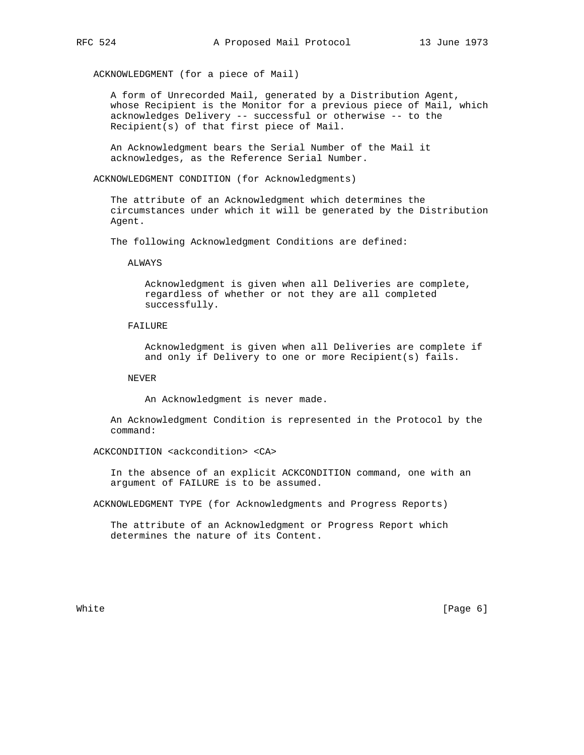ACKNOWLEDGMENT (for a piece of Mail)

 A form of Unrecorded Mail, generated by a Distribution Agent, whose Recipient is the Monitor for a previous piece of Mail, which acknowledges Delivery -- successful or otherwise -- to the Recipient(s) of that first piece of Mail.

 An Acknowledgment bears the Serial Number of the Mail it acknowledges, as the Reference Serial Number.

ACKNOWLEDGMENT CONDITION (for Acknowledgments)

 The attribute of an Acknowledgment which determines the circumstances under which it will be generated by the Distribution Agent.

The following Acknowledgment Conditions are defined:

**ALWAYS** 

 Acknowledgment is given when all Deliveries are complete, regardless of whether or not they are all completed successfully.

## FAILURE

 Acknowledgment is given when all Deliveries are complete if and only if Delivery to one or more Recipient(s) fails.

NEVER

An Acknowledgment is never made.

 An Acknowledgment Condition is represented in the Protocol by the command:

ACKCONDITION <ackcondition> <CA>

 In the absence of an explicit ACKCONDITION command, one with an argument of FAILURE is to be assumed.

ACKNOWLEDGMENT TYPE (for Acknowledgments and Progress Reports)

 The attribute of an Acknowledgment or Progress Report which determines the nature of its Content.

White [Page 6]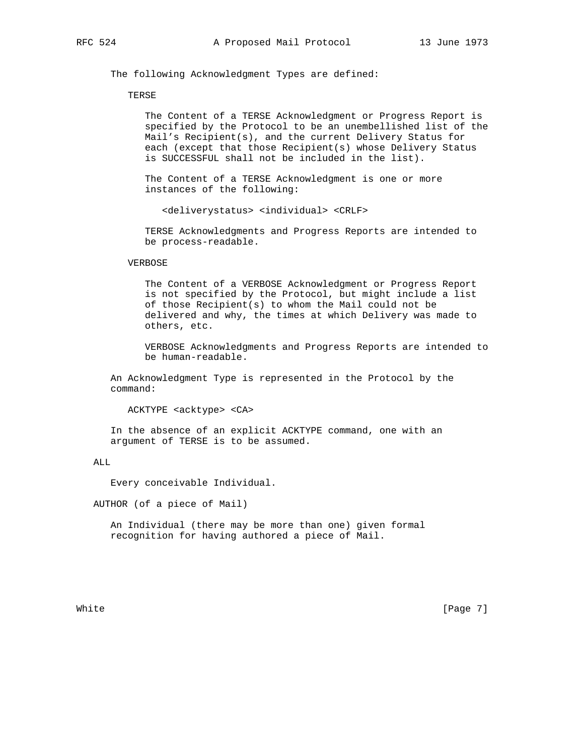The following Acknowledgment Types are defined:

### TERSE

 The Content of a TERSE Acknowledgment or Progress Report is specified by the Protocol to be an unembellished list of the Mail's Recipient(s), and the current Delivery Status for each (except that those Recipient(s) whose Delivery Status is SUCCESSFUL shall not be included in the list).

 The Content of a TERSE Acknowledgment is one or more instances of the following:

<deliverystatus> <individual> <CRLF>

 TERSE Acknowledgments and Progress Reports are intended to be process-readable.

# VERBOSE

 The Content of a VERBOSE Acknowledgment or Progress Report is not specified by the Protocol, but might include a list of those Recipient(s) to whom the Mail could not be delivered and why, the times at which Delivery was made to others, etc.

 VERBOSE Acknowledgments and Progress Reports are intended to be human-readable.

 An Acknowledgment Type is represented in the Protocol by the command:

ACKTYPE <acktype> <CA>

 In the absence of an explicit ACKTYPE command, one with an argument of TERSE is to be assumed.

### ALL

Every conceivable Individual.

AUTHOR (of a piece of Mail)

 An Individual (there may be more than one) given formal recognition for having authored a piece of Mail.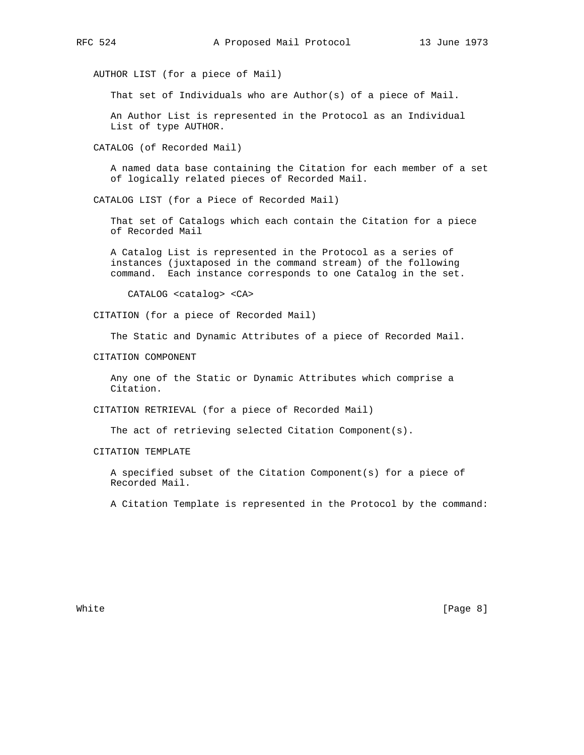AUTHOR LIST (for a piece of Mail)

That set of Individuals who are Author(s) of a piece of Mail.

 An Author List is represented in the Protocol as an Individual List of type AUTHOR.

CATALOG (of Recorded Mail)

 A named data base containing the Citation for each member of a set of logically related pieces of Recorded Mail.

CATALOG LIST (for a Piece of Recorded Mail)

 That set of Catalogs which each contain the Citation for a piece of Recorded Mail

 A Catalog List is represented in the Protocol as a series of instances (juxtaposed in the command stream) of the following command. Each instance corresponds to one Catalog in the set.

CATALOG <catalog> <CA>

CITATION (for a piece of Recorded Mail)

The Static and Dynamic Attributes of a piece of Recorded Mail.

CITATION COMPONENT

 Any one of the Static or Dynamic Attributes which comprise a Citation.

CITATION RETRIEVAL (for a piece of Recorded Mail)

The act of retrieving selected Citation Component(s).

CITATION TEMPLATE

 A specified subset of the Citation Component(s) for a piece of Recorded Mail.

A Citation Template is represented in the Protocol by the command: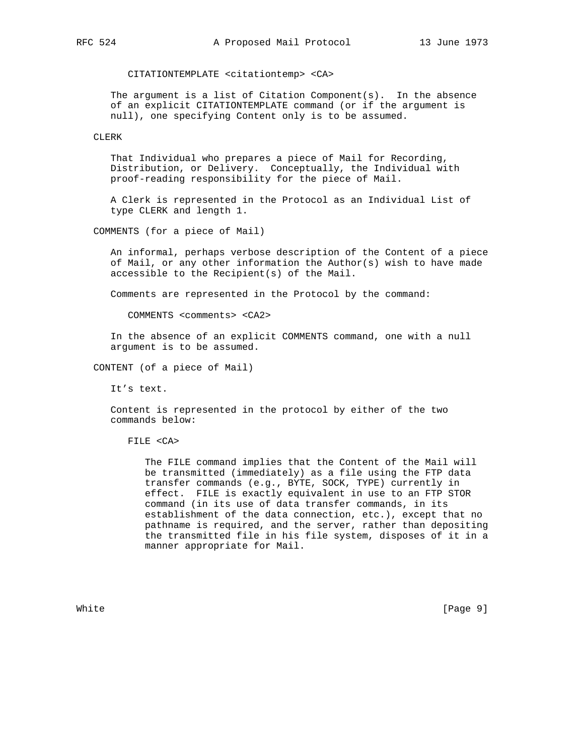CITATIONTEMPLATE <citationtemp> <CA>

The argument is a list of Citation Component(s). In the absence of an explicit CITATIONTEMPLATE command (or if the argument is null), one specifying Content only is to be assumed.

CLERK

 That Individual who prepares a piece of Mail for Recording, Distribution, or Delivery. Conceptually, the Individual with proof-reading responsibility for the piece of Mail.

 A Clerk is represented in the Protocol as an Individual List of type CLERK and length 1.

COMMENTS (for a piece of Mail)

 An informal, perhaps verbose description of the Content of a piece of Mail, or any other information the Author(s) wish to have made accessible to the Recipient(s) of the Mail.

Comments are represented in the Protocol by the command:

COMMENTS <comments> <CA2>

 In the absence of an explicit COMMENTS command, one with a null argument is to be assumed.

CONTENT (of a piece of Mail)

It's text.

 Content is represented in the protocol by either of the two commands below:

FILE <CA>

 The FILE command implies that the Content of the Mail will be transmitted (immediately) as a file using the FTP data transfer commands (e.g., BYTE, SOCK, TYPE) currently in effect. FILE is exactly equivalent in use to an FTP STOR command (in its use of data transfer commands, in its establishment of the data connection, etc.), except that no pathname is required, and the server, rather than depositing the transmitted file in his file system, disposes of it in a manner appropriate for Mail.

White  $[Page 9]$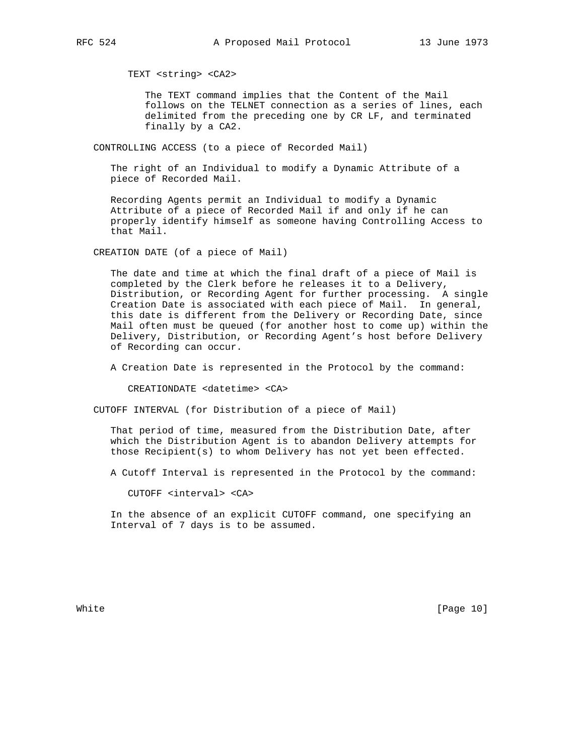TEXT <string> <CA2>

 The TEXT command implies that the Content of the Mail follows on the TELNET connection as a series of lines, each delimited from the preceding one by CR LF, and terminated finally by a CA2.

CONTROLLING ACCESS (to a piece of Recorded Mail)

 The right of an Individual to modify a Dynamic Attribute of a piece of Recorded Mail.

 Recording Agents permit an Individual to modify a Dynamic Attribute of a piece of Recorded Mail if and only if he can properly identify himself as someone having Controlling Access to that Mail.

CREATION DATE (of a piece of Mail)

 The date and time at which the final draft of a piece of Mail is completed by the Clerk before he releases it to a Delivery, Distribution, or Recording Agent for further processing. A single Creation Date is associated with each piece of Mail. In general, this date is different from the Delivery or Recording Date, since Mail often must be queued (for another host to come up) within the Delivery, Distribution, or Recording Agent's host before Delivery of Recording can occur.

A Creation Date is represented in the Protocol by the command:

CREATIONDATE <datetime> <CA>

CUTOFF INTERVAL (for Distribution of a piece of Mail)

 That period of time, measured from the Distribution Date, after which the Distribution Agent is to abandon Delivery attempts for those Recipient(s) to whom Delivery has not yet been effected.

A Cutoff Interval is represented in the Protocol by the command:

CUTOFF <interval> <CA>

 In the absence of an explicit CUTOFF command, one specifying an Interval of 7 days is to be assumed.

White [Page 10]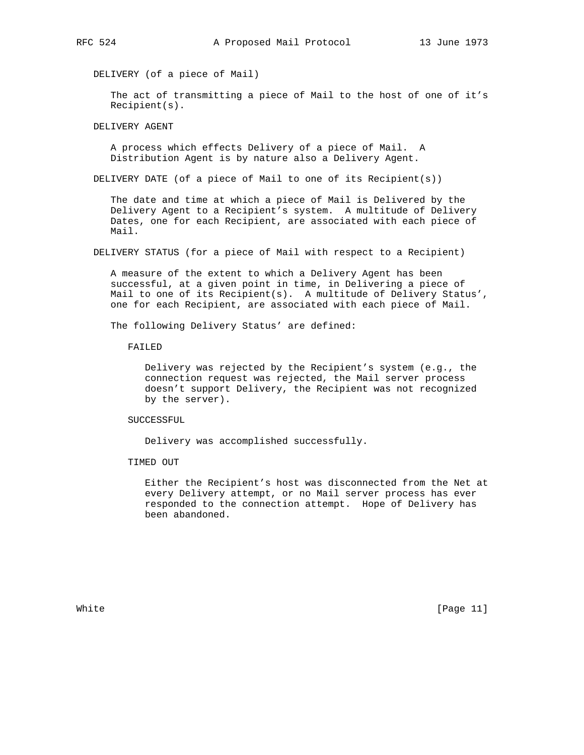DELIVERY (of a piece of Mail)

 The act of transmitting a piece of Mail to the host of one of it's Recipient(s).

DELIVERY AGENT

 A process which effects Delivery of a piece of Mail. A Distribution Agent is by nature also a Delivery Agent.

DELIVERY DATE (of a piece of Mail to one of its Recipient(s))

 The date and time at which a piece of Mail is Delivered by the Delivery Agent to a Recipient's system. A multitude of Delivery Dates, one for each Recipient, are associated with each piece of Mail.

DELIVERY STATUS (for a piece of Mail with respect to a Recipient)

 A measure of the extent to which a Delivery Agent has been successful, at a given point in time, in Delivering a piece of Mail to one of its Recipient(s). A multitude of Delivery Status', one for each Recipient, are associated with each piece of Mail.

The following Delivery Status' are defined:

FAILED

 Delivery was rejected by the Recipient's system (e.g., the connection request was rejected, the Mail server process doesn't support Delivery, the Recipient was not recognized by the server).

SUCCESSFUL

Delivery was accomplished successfully.

TIMED OUT

 Either the Recipient's host was disconnected from the Net at every Delivery attempt, or no Mail server process has ever responded to the connection attempt. Hope of Delivery has been abandoned.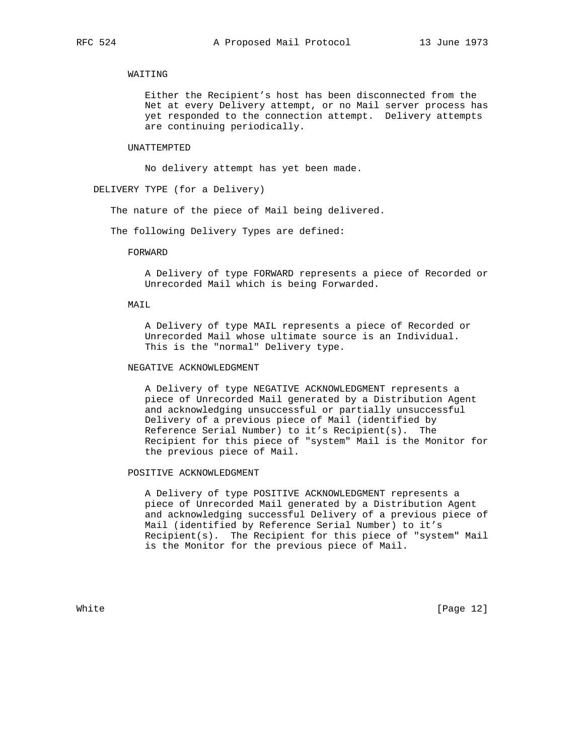# WAITING

 Either the Recipient's host has been disconnected from the Net at every Delivery attempt, or no Mail server process has yet responded to the connection attempt. Delivery attempts are continuing periodically.

#### UNATTEMPTED

No delivery attempt has yet been made.

DELIVERY TYPE (for a Delivery)

The nature of the piece of Mail being delivered.

The following Delivery Types are defined:

### FORWARD

 A Delivery of type FORWARD represents a piece of Recorded or Unrecorded Mail which is being Forwarded.

## MAIL

 A Delivery of type MAIL represents a piece of Recorded or Unrecorded Mail whose ultimate source is an Individual. This is the "normal" Delivery type.

# NEGATIVE ACKNOWLEDGMENT

 A Delivery of type NEGATIVE ACKNOWLEDGMENT represents a piece of Unrecorded Mail generated by a Distribution Agent and acknowledging unsuccessful or partially unsuccessful Delivery of a previous piece of Mail (identified by Reference Serial Number) to it's Recipient(s). The Recipient for this piece of "system" Mail is the Monitor for the previous piece of Mail.

# POSITIVE ACKNOWLEDGMENT

 A Delivery of type POSITIVE ACKNOWLEDGMENT represents a piece of Unrecorded Mail generated by a Distribution Agent and acknowledging successful Delivery of a previous piece of Mail (identified by Reference Serial Number) to it's Recipient(s). The Recipient for this piece of "system" Mail is the Monitor for the previous piece of Mail.

White [Page 12]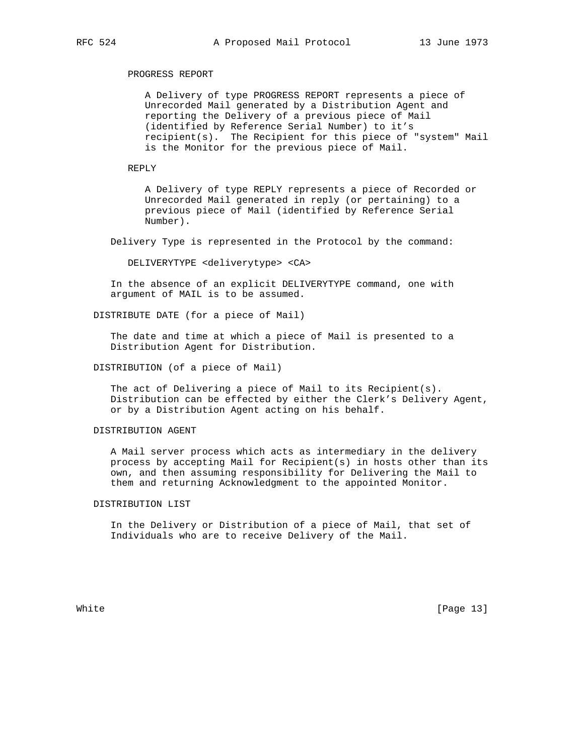# PROGRESS REPORT

 A Delivery of type PROGRESS REPORT represents a piece of Unrecorded Mail generated by a Distribution Agent and reporting the Delivery of a previous piece of Mail (identified by Reference Serial Number) to it's recipient(s). The Recipient for this piece of "system" Mail is the Monitor for the previous piece of Mail.

### REPLY

 A Delivery of type REPLY represents a piece of Recorded or Unrecorded Mail generated in reply (or pertaining) to a previous piece of Mail (identified by Reference Serial Number).

Delivery Type is represented in the Protocol by the command:

DELIVERYTYPE <deliverytype> <CA>

 In the absence of an explicit DELIVERYTYPE command, one with argument of MAIL is to be assumed.

DISTRIBUTE DATE (for a piece of Mail)

 The date and time at which a piece of Mail is presented to a Distribution Agent for Distribution.

DISTRIBUTION (of a piece of Mail)

 The act of Delivering a piece of Mail to its Recipient(s). Distribution can be effected by either the Clerk's Delivery Agent, or by a Distribution Agent acting on his behalf.

# DISTRIBUTION AGENT

 A Mail server process which acts as intermediary in the delivery process by accepting Mail for Recipient(s) in hosts other than its own, and then assuming responsibility for Delivering the Mail to them and returning Acknowledgment to the appointed Monitor.

# DISTRIBUTION LIST

 In the Delivery or Distribution of a piece of Mail, that set of Individuals who are to receive Delivery of the Mail.

White [Page 13]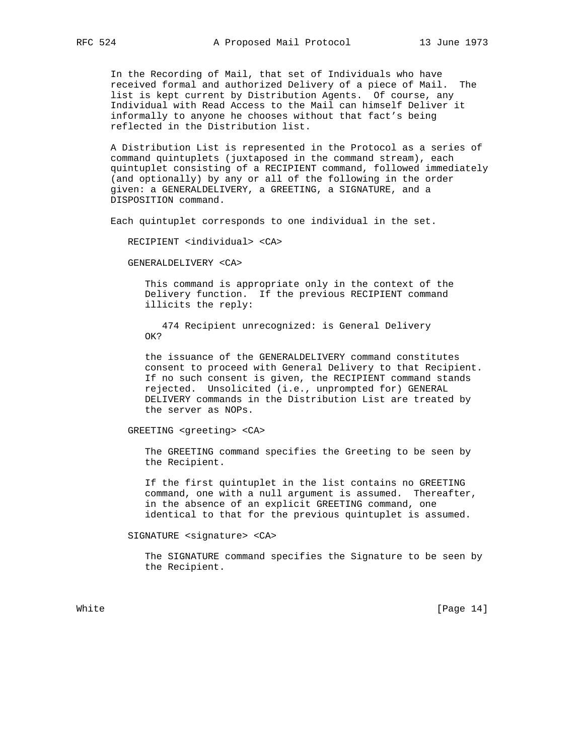In the Recording of Mail, that set of Individuals who have received formal and authorized Delivery of a piece of Mail. The list is kept current by Distribution Agents. Of course, any Individual with Read Access to the Mail can himself Deliver it informally to anyone he chooses without that fact's being reflected in the Distribution list.

 A Distribution List is represented in the Protocol as a series of command quintuplets (juxtaposed in the command stream), each quintuplet consisting of a RECIPIENT command, followed immediately (and optionally) by any or all of the following in the order given: a GENERALDELIVERY, a GREETING, a SIGNATURE, and a DISPOSITION command.

Each quintuplet corresponds to one individual in the set.

RECIPIENT <individual> <CA>

GENERALDELIVERY <CA>

 This command is appropriate only in the context of the Delivery function. If the previous RECIPIENT command illicits the reply:

 474 Recipient unrecognized: is General Delivery OK?

 the issuance of the GENERALDELIVERY command constitutes consent to proceed with General Delivery to that Recipient. If no such consent is given, the RECIPIENT command stands rejected. Unsolicited (i.e., unprompted for) GENERAL DELIVERY commands in the Distribution List are treated by the server as NOPs.

GREETING <greeting> <CA>

 The GREETING command specifies the Greeting to be seen by the Recipient.

 If the first quintuplet in the list contains no GREETING command, one with a null argument is assumed. Thereafter, in the absence of an explicit GREETING command, one identical to that for the previous quintuplet is assumed.

#### SIGNATURE <signature> <CA>

 The SIGNATURE command specifies the Signature to be seen by the Recipient.

White [Page 14]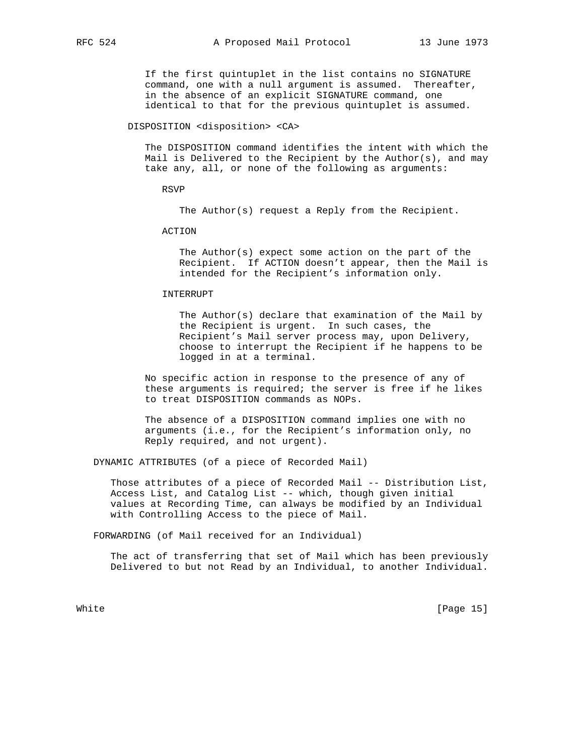If the first quintuplet in the list contains no SIGNATURE command, one with a null argument is assumed. Thereafter, in the absence of an explicit SIGNATURE command, one identical to that for the previous quintuplet is assumed.

DISPOSITION <disposition> <CA>

 The DISPOSITION command identifies the intent with which the Mail is Delivered to the Recipient by the  $Author(s)$ , and may take any, all, or none of the following as arguments:

RSVP

The Author(s) request a Reply from the Recipient.

ACTION

 The Author(s) expect some action on the part of the Recipient. If ACTION doesn't appear, then the Mail is intended for the Recipient's information only.

## INTERRUPT

 The Author(s) declare that examination of the Mail by the Recipient is urgent. In such cases, the Recipient's Mail server process may, upon Delivery, choose to interrupt the Recipient if he happens to be logged in at a terminal.

 No specific action in response to the presence of any of these arguments is required; the server is free if he likes to treat DISPOSITION commands as NOPs.

 The absence of a DISPOSITION command implies one with no arguments (i.e., for the Recipient's information only, no Reply required, and not urgent).

DYNAMIC ATTRIBUTES (of a piece of Recorded Mail)

 Those attributes of a piece of Recorded Mail -- Distribution List, Access List, and Catalog List -- which, though given initial values at Recording Time, can always be modified by an Individual with Controlling Access to the piece of Mail.

FORWARDING (of Mail received for an Individual)

 The act of transferring that set of Mail which has been previously Delivered to but not Read by an Individual, to another Individual.

White [Page 15]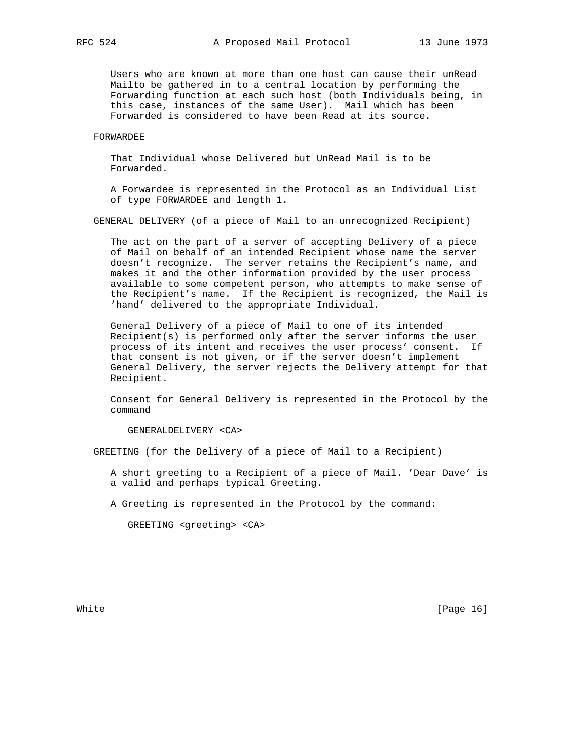Users who are known at more than one host can cause their unRead Mailto be gathered in to a central location by performing the Forwarding function at each such host (both Individuals being, in this case, instances of the same User). Mail which has been Forwarded is considered to have been Read at its source.

# FORWARDEE

 That Individual whose Delivered but UnRead Mail is to be Forwarded.

 A Forwardee is represented in the Protocol as an Individual List of type FORWARDEE and length 1.

GENERAL DELIVERY (of a piece of Mail to an unrecognized Recipient)

 The act on the part of a server of accepting Delivery of a piece of Mail on behalf of an intended Recipient whose name the server doesn't recognize. The server retains the Recipient's name, and makes it and the other information provided by the user process available to some competent person, who attempts to make sense of the Recipient's name. If the Recipient is recognized, the Mail is 'hand' delivered to the appropriate Individual.

 General Delivery of a piece of Mail to one of its intended Recipient(s) is performed only after the server informs the user process of its intent and receives the user process' consent. If that consent is not given, or if the server doesn't implement General Delivery, the server rejects the Delivery attempt for that Recipient.

 Consent for General Delivery is represented in the Protocol by the command

GENERALDELIVERY <CA>

GREETING (for the Delivery of a piece of Mail to a Recipient)

 A short greeting to a Recipient of a piece of Mail. 'Dear Dave' is a valid and perhaps typical Greeting.

A Greeting is represented in the Protocol by the command:

GREETING <greeting> <CA>

White [Page 16]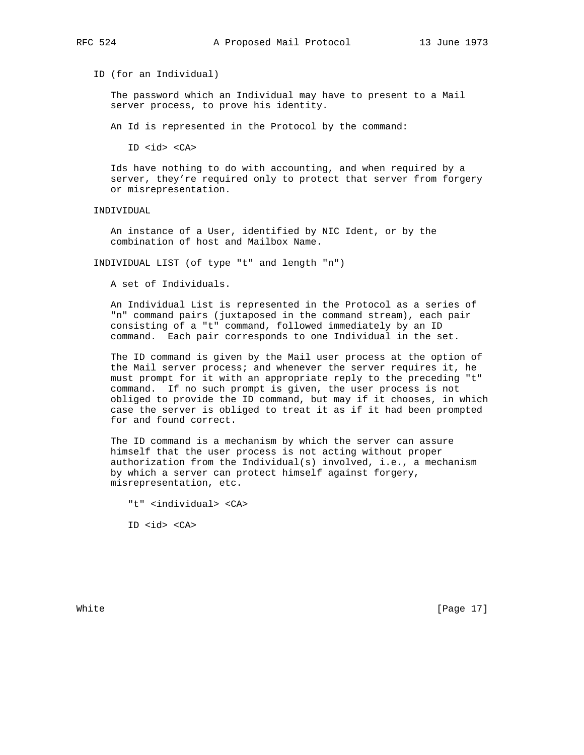ID (for an Individual)

 The password which an Individual may have to present to a Mail server process, to prove his identity.

An Id is represented in the Protocol by the command:

ID <id> <CA>

 Ids have nothing to do with accounting, and when required by a server, they're required only to protect that server from forgery or misrepresentation.

INDIVIDUAL

 An instance of a User, identified by NIC Ident, or by the combination of host and Mailbox Name.

INDIVIDUAL LIST (of type "t" and length "n")

A set of Individuals.

 An Individual List is represented in the Protocol as a series of "n" command pairs (juxtaposed in the command stream), each pair consisting of a "t" command, followed immediately by an ID command. Each pair corresponds to one Individual in the set.

 The ID command is given by the Mail user process at the option of the Mail server process; and whenever the server requires it, he must prompt for it with an appropriate reply to the preceding "t" command. If no such prompt is given, the user process is not obliged to provide the ID command, but may if it chooses, in which case the server is obliged to treat it as if it had been prompted for and found correct.

 The ID command is a mechanism by which the server can assure himself that the user process is not acting without proper authorization from the Individual(s) involved, i.e., a mechanism by which a server can protect himself against forgery, misrepresentation, etc.

"t" <individual> <CA>

ID <id> <CA>

White [Page 17]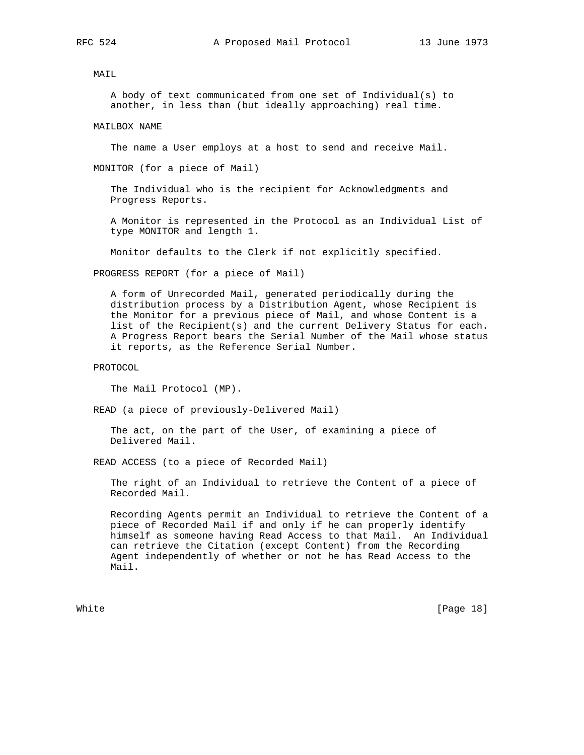MAIL

 A body of text communicated from one set of Individual(s) to another, in less than (but ideally approaching) real time.

MAILBOX NAME

The name a User employs at a host to send and receive Mail.

MONITOR (for a piece of Mail)

 The Individual who is the recipient for Acknowledgments and Progress Reports.

 A Monitor is represented in the Protocol as an Individual List of type MONITOR and length 1.

Monitor defaults to the Clerk if not explicitly specified.

PROGRESS REPORT (for a piece of Mail)

 A form of Unrecorded Mail, generated periodically during the distribution process by a Distribution Agent, whose Recipient is the Monitor for a previous piece of Mail, and whose Content is a list of the Recipient(s) and the current Delivery Status for each. A Progress Report bears the Serial Number of the Mail whose status it reports, as the Reference Serial Number.

PROTOCOL

The Mail Protocol (MP).

READ (a piece of previously-Delivered Mail)

 The act, on the part of the User, of examining a piece of Delivered Mail.

READ ACCESS (to a piece of Recorded Mail)

 The right of an Individual to retrieve the Content of a piece of Recorded Mail.

 Recording Agents permit an Individual to retrieve the Content of a piece of Recorded Mail if and only if he can properly identify himself as someone having Read Access to that Mail. An Individual can retrieve the Citation (except Content) from the Recording Agent independently of whether or not he has Read Access to the Mail.

White [Page 18]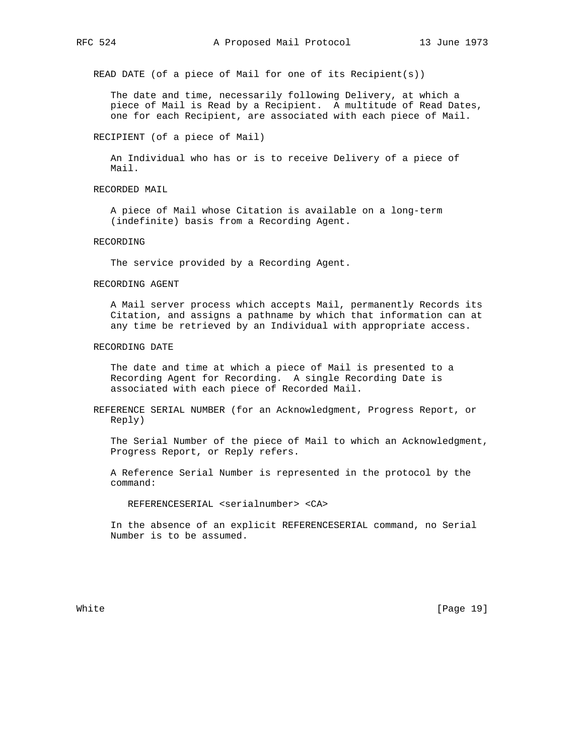READ DATE (of a piece of Mail for one of its Recipient(s))

 The date and time, necessarily following Delivery, at which a piece of Mail is Read by a Recipient. A multitude of Read Dates, one for each Recipient, are associated with each piece of Mail.

RECIPIENT (of a piece of Mail)

 An Individual who has or is to receive Delivery of a piece of Mail.

RECORDED MAIL

 A piece of Mail whose Citation is available on a long-term (indefinite) basis from a Recording Agent.

### RECORDING

The service provided by a Recording Agent.

### RECORDING AGENT

 A Mail server process which accepts Mail, permanently Records its Citation, and assigns a pathname by which that information can at any time be retrieved by an Individual with appropriate access.

### RECORDING DATE

 The date and time at which a piece of Mail is presented to a Recording Agent for Recording. A single Recording Date is associated with each piece of Recorded Mail.

 REFERENCE SERIAL NUMBER (for an Acknowledgment, Progress Report, or Reply)

 The Serial Number of the piece of Mail to which an Acknowledgment, Progress Report, or Reply refers.

 A Reference Serial Number is represented in the protocol by the command:

REFERENCESERIAL <serialnumber> <CA>

 In the absence of an explicit REFERENCESERIAL command, no Serial Number is to be assumed.

White [Page 19]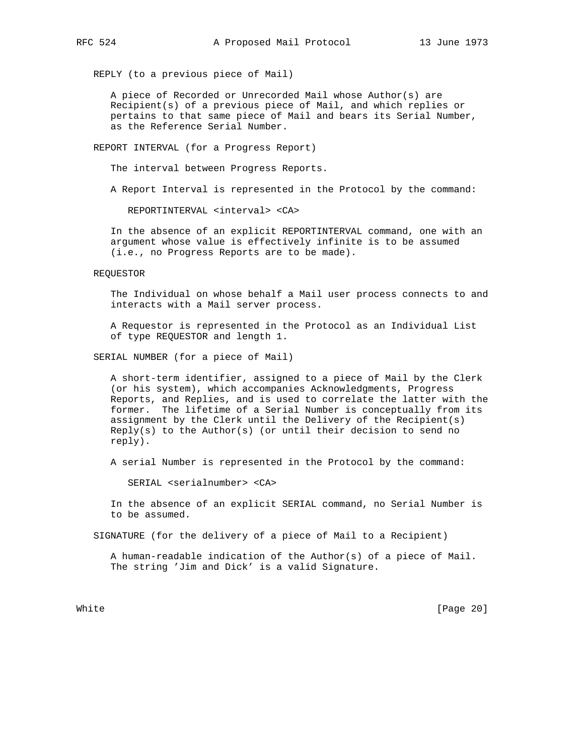REPLY (to a previous piece of Mail)

 A piece of Recorded or Unrecorded Mail whose Author(s) are Recipient(s) of a previous piece of Mail, and which replies or pertains to that same piece of Mail and bears its Serial Number, as the Reference Serial Number.

REPORT INTERVAL (for a Progress Report)

The interval between Progress Reports.

A Report Interval is represented in the Protocol by the command:

REPORTINTERVAL <interval> <CA>

 In the absence of an explicit REPORTINTERVAL command, one with an argument whose value is effectively infinite is to be assumed (i.e., no Progress Reports are to be made).

REQUESTOR

 The Individual on whose behalf a Mail user process connects to and interacts with a Mail server process.

 A Requestor is represented in the Protocol as an Individual List of type REQUESTOR and length 1.

SERIAL NUMBER (for a piece of Mail)

 A short-term identifier, assigned to a piece of Mail by the Clerk (or his system), which accompanies Acknowledgments, Progress Reports, and Replies, and is used to correlate the latter with the former. The lifetime of a Serial Number is conceptually from its assignment by the Clerk until the Delivery of the Recipient(s)  $Reply(s)$  to the Author(s) (or until their decision to send no reply).

A serial Number is represented in the Protocol by the command:

SERIAL <serialnumber> <CA>

 In the absence of an explicit SERIAL command, no Serial Number is to be assumed.

SIGNATURE (for the delivery of a piece of Mail to a Recipient)

 A human-readable indication of the Author(s) of a piece of Mail. The string 'Jim and Dick' is a valid Signature.

White [Page 20]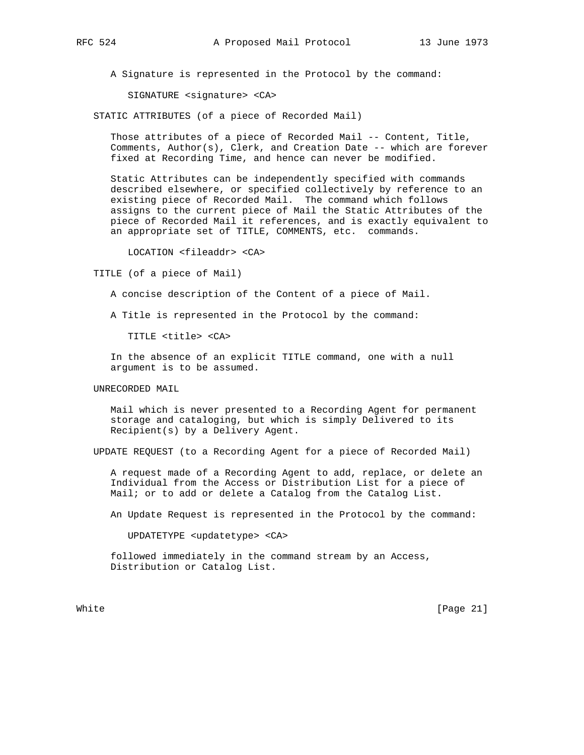A Signature is represented in the Protocol by the command:

SIGNATURE <signature> <CA>

STATIC ATTRIBUTES (of a piece of Recorded Mail)

 Those attributes of a piece of Recorded Mail -- Content, Title, Comments,  $Author(s)$ , Clerk, and Creation Date  $--$  which are forever fixed at Recording Time, and hence can never be modified.

 Static Attributes can be independently specified with commands described elsewhere, or specified collectively by reference to an existing piece of Recorded Mail. The command which follows assigns to the current piece of Mail the Static Attributes of the piece of Recorded Mail it references, and is exactly equivalent to an appropriate set of TITLE, COMMENTS, etc. commands.

LOCATION <fileaddr> <CA>

TITLE (of a piece of Mail)

A concise description of the Content of a piece of Mail.

A Title is represented in the Protocol by the command:

TITLE <title> <CA>

 In the absence of an explicit TITLE command, one with a null argument is to be assumed.

UNRECORDED MAIL

 Mail which is never presented to a Recording Agent for permanent storage and cataloging, but which is simply Delivered to its Recipient(s) by a Delivery Agent.

UPDATE REQUEST (to a Recording Agent for a piece of Recorded Mail)

 A request made of a Recording Agent to add, replace, or delete an Individual from the Access or Distribution List for a piece of Mail; or to add or delete a Catalog from the Catalog List.

An Update Request is represented in the Protocol by the command:

UPDATETYPE <updatetype> <CA>

 followed immediately in the command stream by an Access, Distribution or Catalog List.

White [Page 21]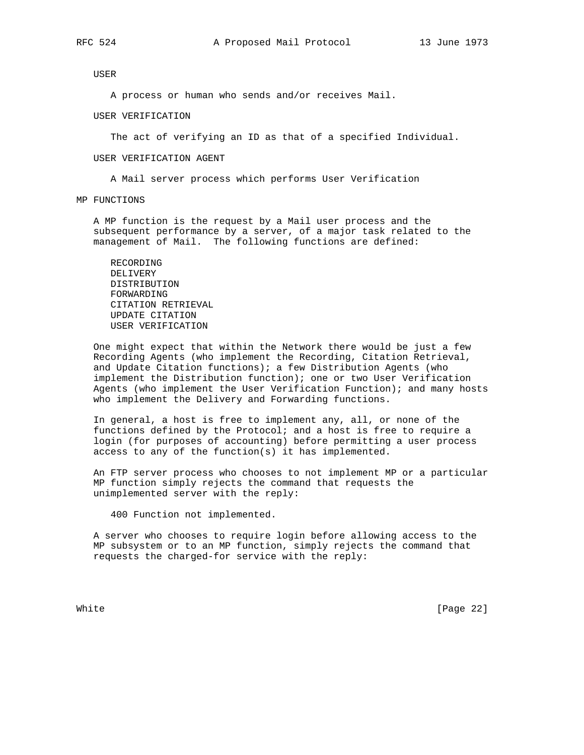USER

A process or human who sends and/or receives Mail.

USER VERIFICATION

The act of verifying an ID as that of a specified Individual.

USER VERIFICATION AGENT

A Mail server process which performs User Verification

MP FUNCTIONS

 A MP function is the request by a Mail user process and the subsequent performance by a server, of a major task related to the management of Mail. The following functions are defined:

 RECORDING DELIVERY DISTRIBUTION FORWARDING CITATION RETRIEVAL UPDATE CITATION USER VERIFICATION

 One might expect that within the Network there would be just a few Recording Agents (who implement the Recording, Citation Retrieval, and Update Citation functions); a few Distribution Agents (who implement the Distribution function); one or two User Verification Agents (who implement the User Verification Function); and many hosts who implement the Delivery and Forwarding functions.

 In general, a host is free to implement any, all, or none of the functions defined by the Protocol; and a host is free to require a login (for purposes of accounting) before permitting a user process access to any of the function(s) it has implemented.

 An FTP server process who chooses to not implement MP or a particular MP function simply rejects the command that requests the unimplemented server with the reply:

400 Function not implemented.

 A server who chooses to require login before allowing access to the MP subsystem or to an MP function, simply rejects the command that requests the charged-for service with the reply:

White [Page 22]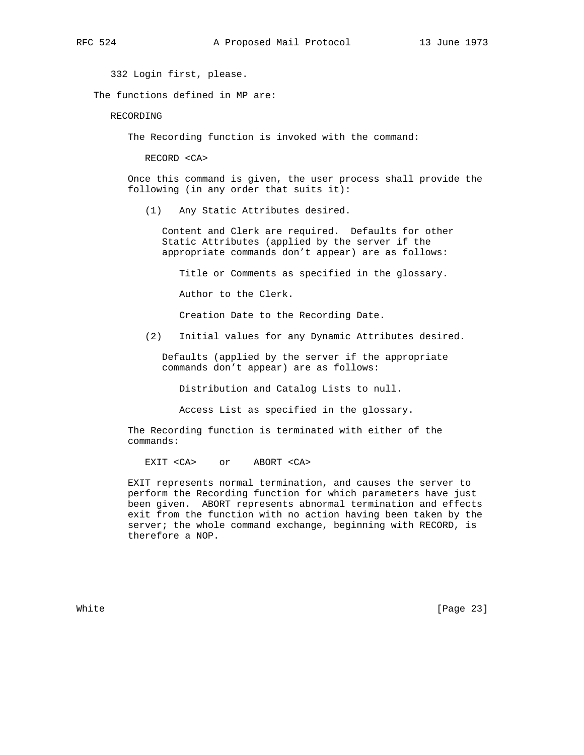332 Login first, please.

The functions defined in MP are:

RECORDING

The Recording function is invoked with the command:

RECORD <CA>

 Once this command is given, the user process shall provide the following (in any order that suits it):

(1) Any Static Attributes desired.

 Content and Clerk are required. Defaults for other Static Attributes (applied by the server if the appropriate commands don't appear) are as follows:

Title or Comments as specified in the glossary.

Author to the Clerk.

Creation Date to the Recording Date.

(2) Initial values for any Dynamic Attributes desired.

 Defaults (applied by the server if the appropriate commands don't appear) are as follows:

Distribution and Catalog Lists to null.

Access List as specified in the glossary.

 The Recording function is terminated with either of the commands:

EXIT <CA> or ABORT <CA>

 EXIT represents normal termination, and causes the server to perform the Recording function for which parameters have just been given. ABORT represents abnormal termination and effects exit from the function with no action having been taken by the server; the whole command exchange, beginning with RECORD, is therefore a NOP.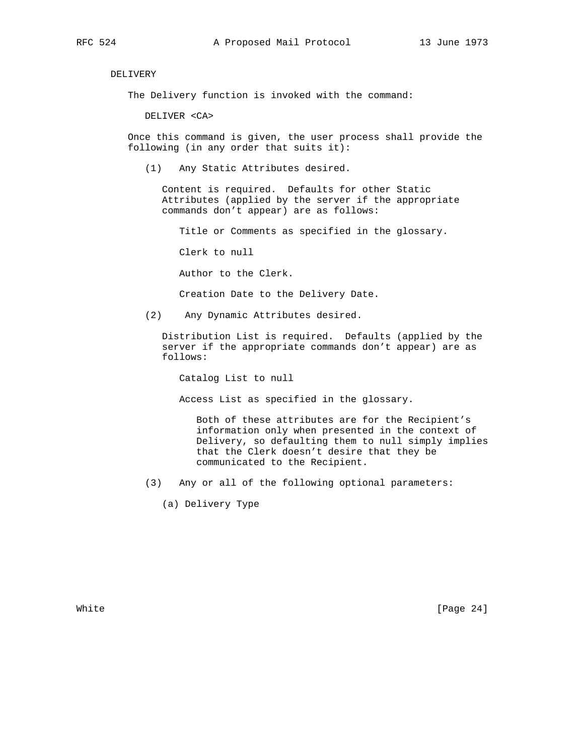DELIVERY

The Delivery function is invoked with the command:

DELIVER <CA>

 Once this command is given, the user process shall provide the following (in any order that suits it):

(1) Any Static Attributes desired.

 Content is required. Defaults for other Static Attributes (applied by the server if the appropriate commands don't appear) are as follows:

Title or Comments as specified in the glossary.

Clerk to null

Author to the Clerk.

Creation Date to the Delivery Date.

(2) Any Dynamic Attributes desired.

 Distribution List is required. Defaults (applied by the server if the appropriate commands don't appear) are as follows:

Catalog List to null

Access List as specified in the glossary.

 Both of these attributes are for the Recipient's information only when presented in the context of Delivery, so defaulting them to null simply implies that the Clerk doesn't desire that they be communicated to the Recipient.

(3) Any or all of the following optional parameters:

(a) Delivery Type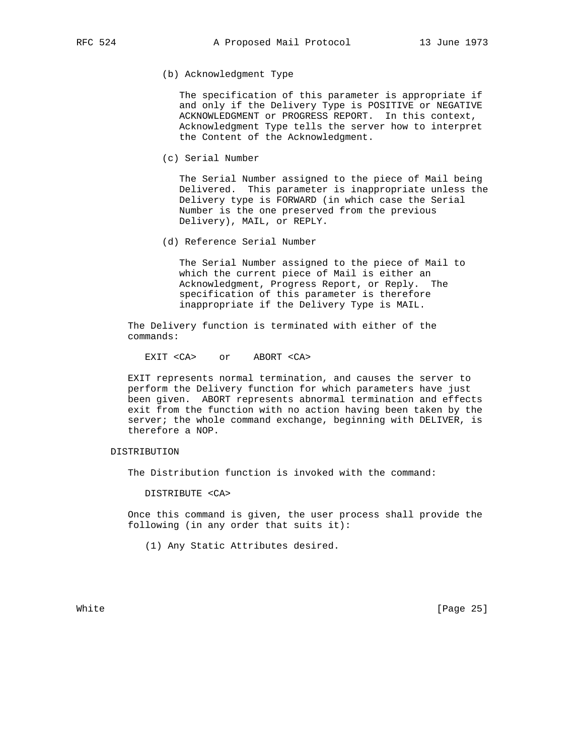(b) Acknowledgment Type

 The specification of this parameter is appropriate if and only if the Delivery Type is POSITIVE or NEGATIVE ACKNOWLEDGMENT or PROGRESS REPORT. In this context, Acknowledgment Type tells the server how to interpret the Content of the Acknowledgment.

(c) Serial Number

 The Serial Number assigned to the piece of Mail being Delivered. This parameter is inappropriate unless the Delivery type is FORWARD (in which case the Serial Number is the one preserved from the previous Delivery), MAIL, or REPLY.

(d) Reference Serial Number

 The Serial Number assigned to the piece of Mail to which the current piece of Mail is either an Acknowledgment, Progress Report, or Reply. The specification of this parameter is therefore inappropriate if the Delivery Type is MAIL.

 The Delivery function is terminated with either of the commands:

EXIT <CA> or ABORT <CA>

 EXIT represents normal termination, and causes the server to perform the Delivery function for which parameters have just been given. ABORT represents abnormal termination and effects exit from the function with no action having been taken by the server; the whole command exchange, beginning with DELIVER, is therefore a NOP.

# DISTRIBUTION

The Distribution function is invoked with the command:

DISTRIBUTE <CA>

 Once this command is given, the user process shall provide the following (in any order that suits it):

(1) Any Static Attributes desired.

White [Page 25]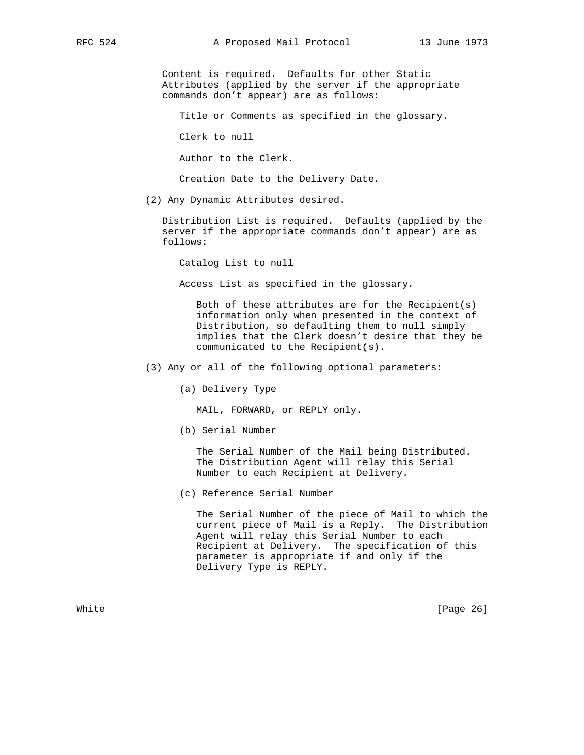Content is required. Defaults for other Static Attributes (applied by the server if the appropriate commands don't appear) are as follows:

Title or Comments as specified in the glossary.

Clerk to null

Author to the Clerk.

Creation Date to the Delivery Date.

(2) Any Dynamic Attributes desired.

 Distribution List is required. Defaults (applied by the server if the appropriate commands don't appear) are as follows:

Catalog List to null

Access List as specified in the glossary.

 Both of these attributes are for the Recipient(s) information only when presented in the context of Distribution, so defaulting them to null simply implies that the Clerk doesn't desire that they be communicated to the Recipient(s).

- (3) Any or all of the following optional parameters:
	- (a) Delivery Type

MAIL, FORWARD, or REPLY only.

(b) Serial Number

 The Serial Number of the Mail being Distributed. The Distribution Agent will relay this Serial Number to each Recipient at Delivery.

(c) Reference Serial Number

 The Serial Number of the piece of Mail to which the current piece of Mail is a Reply. The Distribution Agent will relay this Serial Number to each Recipient at Delivery. The specification of this parameter is appropriate if and only if the Delivery Type is REPLY.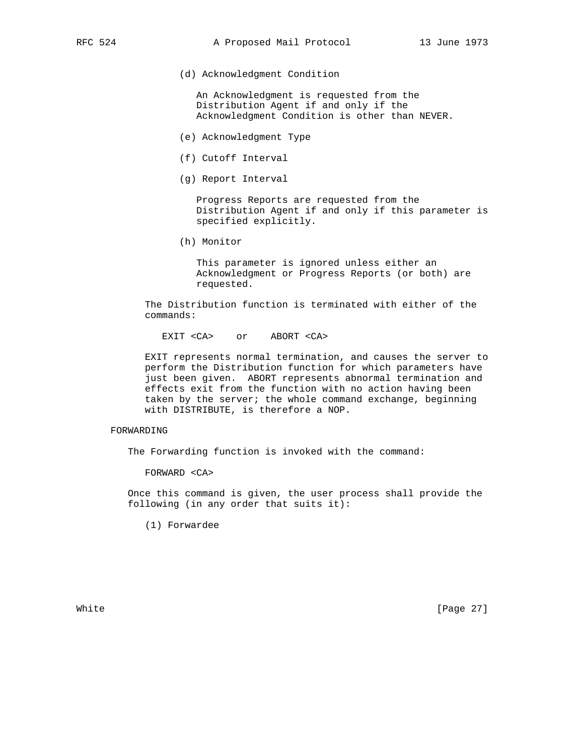(d) Acknowledgment Condition

 An Acknowledgment is requested from the Distribution Agent if and only if the Acknowledgment Condition is other than NEVER.

- (e) Acknowledgment Type
- (f) Cutoff Interval
- (g) Report Interval

 Progress Reports are requested from the Distribution Agent if and only if this parameter is specified explicitly.

(h) Monitor

 This parameter is ignored unless either an Acknowledgment or Progress Reports (or both) are requested.

 The Distribution function is terminated with either of the commands:

EXIT <CA> or ABORT <CA>

 EXIT represents normal termination, and causes the server to perform the Distribution function for which parameters have just been given. ABORT represents abnormal termination and effects exit from the function with no action having been taken by the server; the whole command exchange, beginning with DISTRIBUTE, is therefore a NOP.

# FORWARDING

The Forwarding function is invoked with the command:

FORWARD <CA>

 Once this command is given, the user process shall provide the following (in any order that suits it):

(1) Forwardee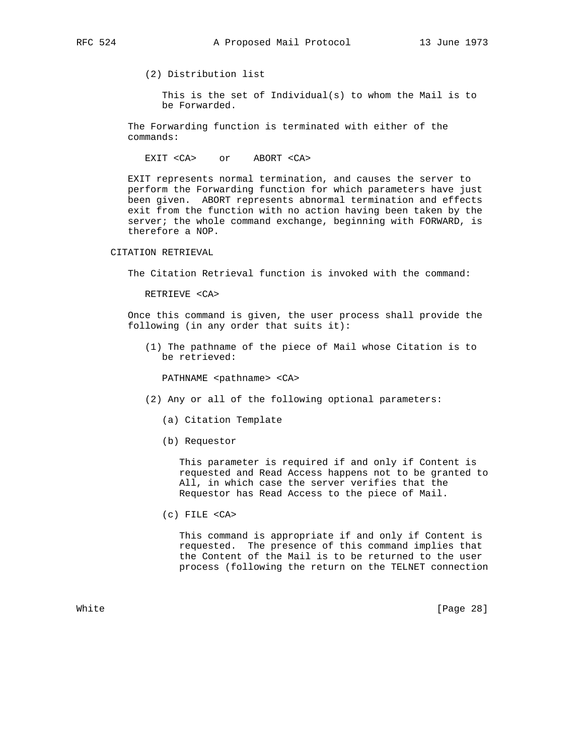(2) Distribution list

 This is the set of Individual(s) to whom the Mail is to be Forwarded.

 The Forwarding function is terminated with either of the commands:

EXIT <CA> or ABORT <CA>

 EXIT represents normal termination, and causes the server to perform the Forwarding function for which parameters have just been given. ABORT represents abnormal termination and effects exit from the function with no action having been taken by the server; the whole command exchange, beginning with FORWARD, is therefore a NOP.

CITATION RETRIEVAL

The Citation Retrieval function is invoked with the command:

RETRIEVE <CA>

 Once this command is given, the user process shall provide the following (in any order that suits it):

 (1) The pathname of the piece of Mail whose Citation is to be retrieved:

PATHNAME <pathname> <CA>

- (2) Any or all of the following optional parameters:
	- (a) Citation Template
	- (b) Requestor

 This parameter is required if and only if Content is requested and Read Access happens not to be granted to All, in which case the server verifies that the Requestor has Read Access to the piece of Mail.

(c) FILE <CA>

 This command is appropriate if and only if Content is requested. The presence of this command implies that the Content of the Mail is to be returned to the user process (following the return on the TELNET connection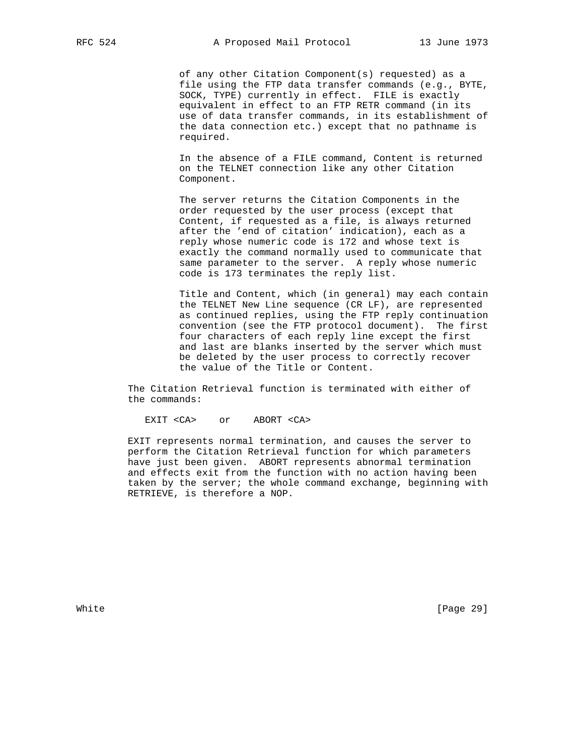of any other Citation Component(s) requested) as a file using the FTP data transfer commands (e.g., BYTE, SOCK, TYPE) currently in effect. FILE is exactly equivalent in effect to an FTP RETR command (in its use of data transfer commands, in its establishment of the data connection etc.) except that no pathname is required.

 In the absence of a FILE command, Content is returned on the TELNET connection like any other Citation Component.

 The server returns the Citation Components in the order requested by the user process (except that Content, if requested as a file, is always returned after the 'end of citation' indication), each as a reply whose numeric code is 172 and whose text is exactly the command normally used to communicate that same parameter to the server. A reply whose numeric code is 173 terminates the reply list.

 Title and Content, which (in general) may each contain the TELNET New Line sequence (CR LF), are represented as continued replies, using the FTP reply continuation convention (see the FTP protocol document). The first four characters of each reply line except the first and last are blanks inserted by the server which must be deleted by the user process to correctly recover the value of the Title or Content.

 The Citation Retrieval function is terminated with either of the commands:

EXIT <CA> or ABORT <CA>

 EXIT represents normal termination, and causes the server to perform the Citation Retrieval function for which parameters have just been given. ABORT represents abnormal termination and effects exit from the function with no action having been taken by the server; the whole command exchange, beginning with RETRIEVE, is therefore a NOP.

White [Page 29]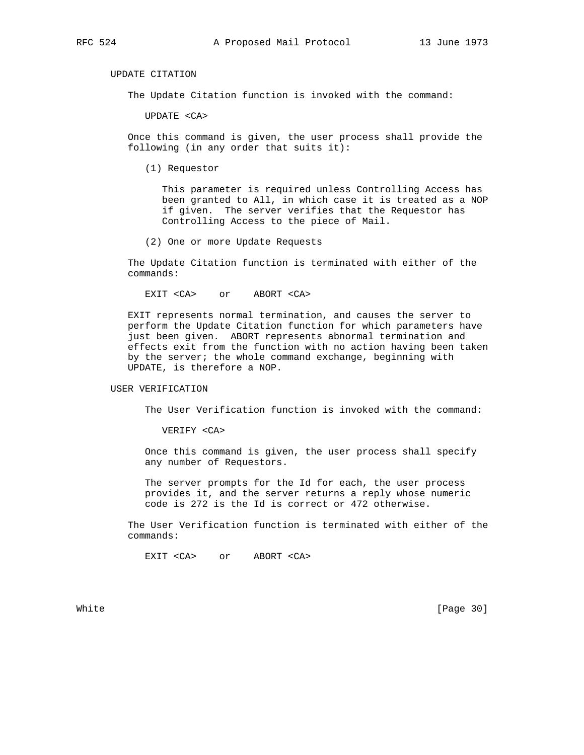UPDATE CITATION

The Update Citation function is invoked with the command:

UPDATE <CA>

 Once this command is given, the user process shall provide the following (in any order that suits it):

(1) Requestor

 This parameter is required unless Controlling Access has been granted to All, in which case it is treated as a NOP if given. The server verifies that the Requestor has Controlling Access to the piece of Mail.

(2) One or more Update Requests

 The Update Citation function is terminated with either of the commands:

EXIT <CA> or ABORT <CA>

 EXIT represents normal termination, and causes the server to perform the Update Citation function for which parameters have just been given. ABORT represents abnormal termination and effects exit from the function with no action having been taken by the server; the whole command exchange, beginning with UPDATE, is therefore a NOP.

# USER VERIFICATION

The User Verification function is invoked with the command:

VERIFY <CA>

 Once this command is given, the user process shall specify any number of Requestors.

 The server prompts for the Id for each, the user process provides it, and the server returns a reply whose numeric code is 272 is the Id is correct or 472 otherwise.

 The User Verification function is terminated with either of the commands:

EXIT <CA> or ABORT <CA>

White [Page 30]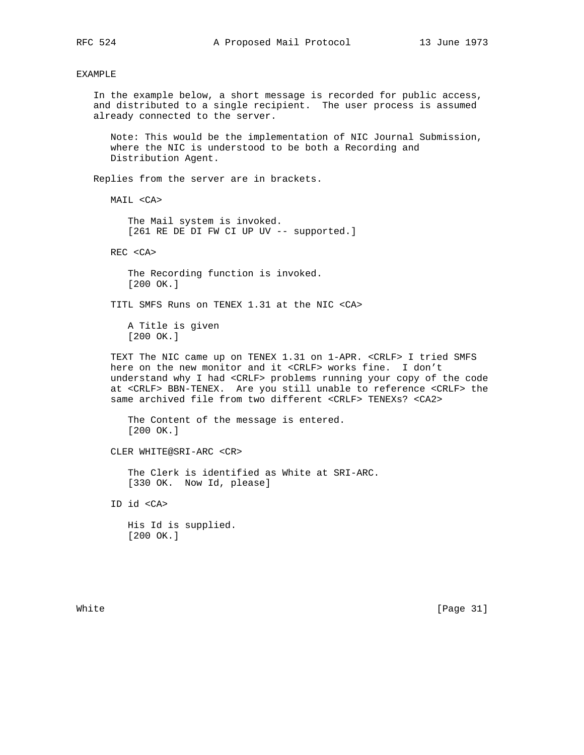## EXAMPLE

 In the example below, a short message is recorded for public access, and distributed to a single recipient. The user process is assumed already connected to the server.

 Note: This would be the implementation of NIC Journal Submission, where the NIC is understood to be both a Recording and Distribution Agent.

Replies from the server are in brackets.

MAIL <CA>

 The Mail system is invoked. [261 RE DE DI FW CI UP UV -- supported.]

REC <CA>

 The Recording function is invoked. [200 OK.]

TITL SMFS Runs on TENEX 1.31 at the NIC <CA>

 A Title is given [200 OK.]

 TEXT The NIC came up on TENEX 1.31 on 1-APR. <CRLF> I tried SMFS here on the new monitor and it <CRLF> works fine. I don't understand why I had <CRLF> problems running your copy of the code at <CRLF> BBN-TENEX. Are you still unable to reference <CRLF> the same archived file from two different <CRLF> TENEXs? <CA2>

 The Content of the message is entered. [200 OK.]

CLER WHITE@SRI-ARC <CR>

 The Clerk is identified as White at SRI-ARC. [330 OK. Now Id, please]

ID id <CA>

 His Id is supplied. [200 OK.]

White [Page 31]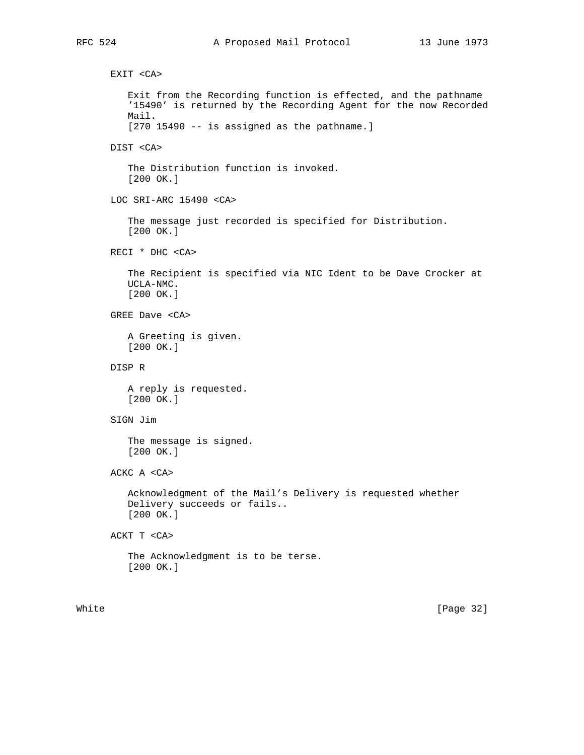EXIT <CA> Exit from the Recording function is effected, and the pathname '15490' is returned by the Recording Agent for the now Recorded Mail. [270 15490 -- is assigned as the pathname.] DIST <CA> The Distribution function is invoked. [200 OK.] LOC SRI-ARC 15490 <CA> The message just recorded is specified for Distribution. [200 OK.] RECI \* DHC <CA> The Recipient is specified via NIC Ident to be Dave Crocker at UCLA-NMC. [200 OK.] GREE Dave <CA> A Greeting is given. [200 OK.] DISP R A reply is requested. [200 OK.] SIGN Jim The message is signed. [200 OK.] ACKC A <CA> Acknowledgment of the Mail's Delivery is requested whether Delivery succeeds or fails.. [200 OK.] ACKT T <CA> The Acknowledgment is to be terse. [200 OK.]

White [Page 32]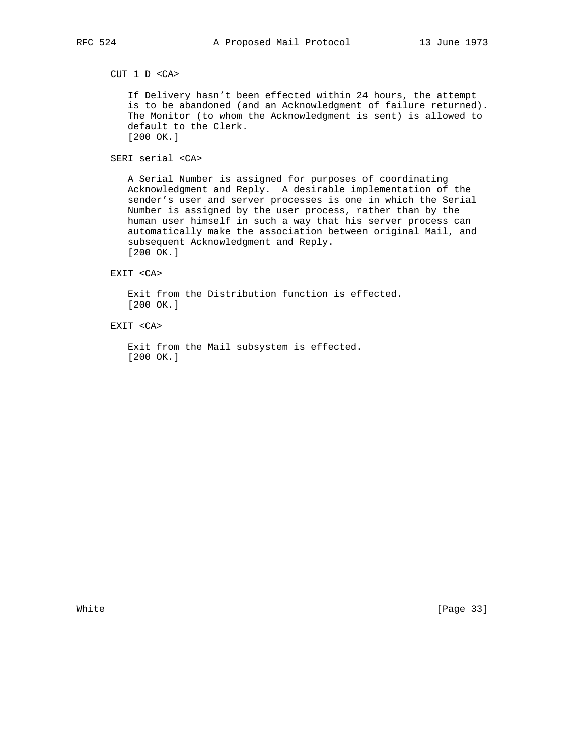CUT 1 D <CA>

 If Delivery hasn't been effected within 24 hours, the attempt is to be abandoned (and an Acknowledgment of failure returned). The Monitor (to whom the Acknowledgment is sent) is allowed to default to the Clerk. [200 OK.]

SERI serial <CA>

 A Serial Number is assigned for purposes of coordinating Acknowledgment and Reply. A desirable implementation of the sender's user and server processes is one in which the Serial Number is assigned by the user process, rather than by the human user himself in such a way that his server process can automatically make the association between original Mail, and subsequent Acknowledgment and Reply. [200 OK.]

EXIT <CA>

 Exit from the Distribution function is effected. [200 OK.]

EXIT <CA>

 Exit from the Mail subsystem is effected. [200 OK.]

White [Page 33]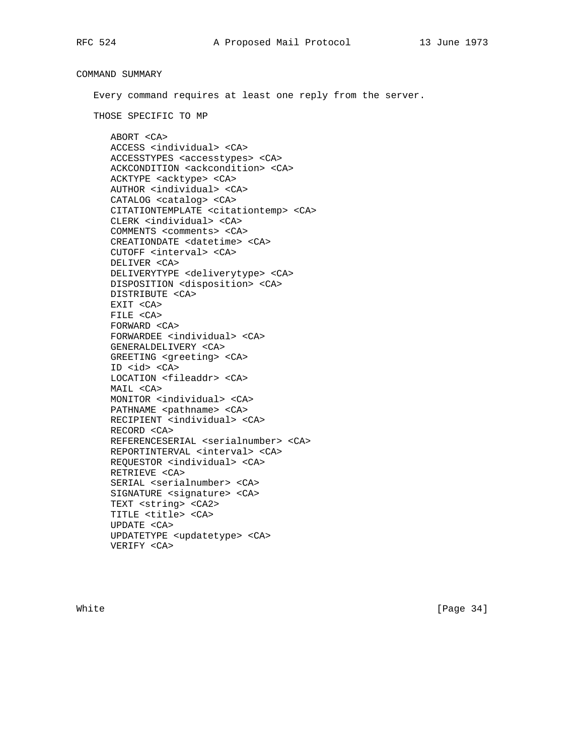COMMAND SUMMARY Every command requires at least one reply from the server. THOSE SPECIFIC TO MP ABORT <CA> ACCESS <individual> <CA> ACCESSTYPES <accesstypes> <CA> ACKCONDITION <ackcondition> <CA> ACKTYPE <acktype> <CA> AUTHOR <individual> <CA> CATALOG <catalog> <CA> CITATIONTEMPLATE <citationtemp> <CA> CLERK <individual> <CA> COMMENTS <comments> <CA> CREATIONDATE <datetime> <CA> CUTOFF <interval> <CA> DELIVER <CA> DELIVERYTYPE <deliverytype> <CA> DISPOSITION <disposition> <CA> DISTRIBUTE <CA> EXIT <CA> FILE <CA> FORWARD <CA> FORWARDEE <individual> <CA> GENERALDELIVERY <CA> GREETING <greeting> <CA> ID <id> <CA> LOCATION <fileaddr> <CA> MAIL <CA> MONITOR <individual> <CA> PATHNAME <pathname> <CA> RECIPIENT <individual> <CA> RECORD <CA> REFERENCESERIAL <serialnumber> <CA> REPORTINTERVAL <interval> <CA> REQUESTOR <individual> <CA> RETRIEVE <CA> SERIAL <serialnumber> <CA> SIGNATURE <signature> <CA> TEXT <string> <CA2> TITLE <title> <CA> UPDATE <CA> UPDATETYPE <updatetype> <CA> VERIFY <CA>

White [Page 34]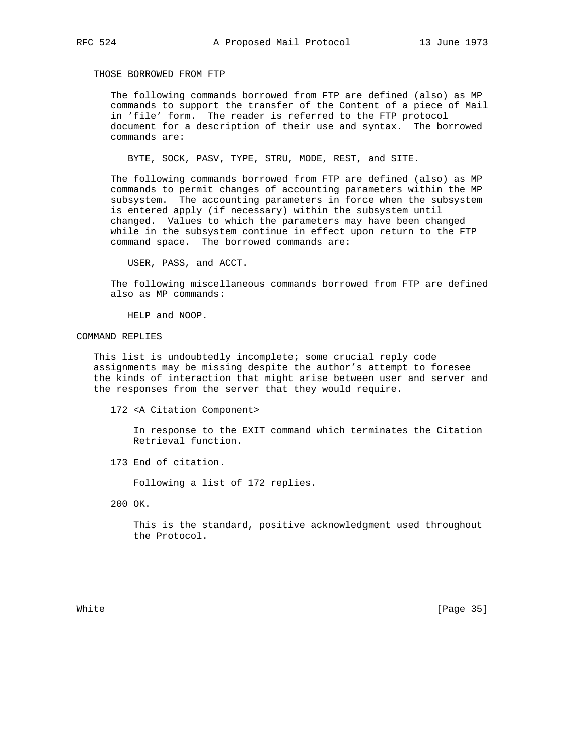THOSE BORROWED FROM FTP

 The following commands borrowed from FTP are defined (also) as MP commands to support the transfer of the Content of a piece of Mail in 'file' form. The reader is referred to the FTP protocol document for a description of their use and syntax. The borrowed commands are:

BYTE, SOCK, PASV, TYPE, STRU, MODE, REST, and SITE.

 The following commands borrowed from FTP are defined (also) as MP commands to permit changes of accounting parameters within the MP subsystem. The accounting parameters in force when the subsystem is entered apply (if necessary) within the subsystem until changed. Values to which the parameters may have been changed while in the subsystem continue in effect upon return to the FTP command space. The borrowed commands are:

USER, PASS, and ACCT.

 The following miscellaneous commands borrowed from FTP are defined also as MP commands:

HELP and NOOP.

## COMMAND REPLIES

 This list is undoubtedly incomplete; some crucial reply code assignments may be missing despite the author's attempt to foresee the kinds of interaction that might arise between user and server and the responses from the server that they would require.

172 <A Citation Component>

 In response to the EXIT command which terminates the Citation Retrieval function.

173 End of citation.

Following a list of 172 replies.

200 OK.

 This is the standard, positive acknowledgment used throughout the Protocol.

White [Page 35]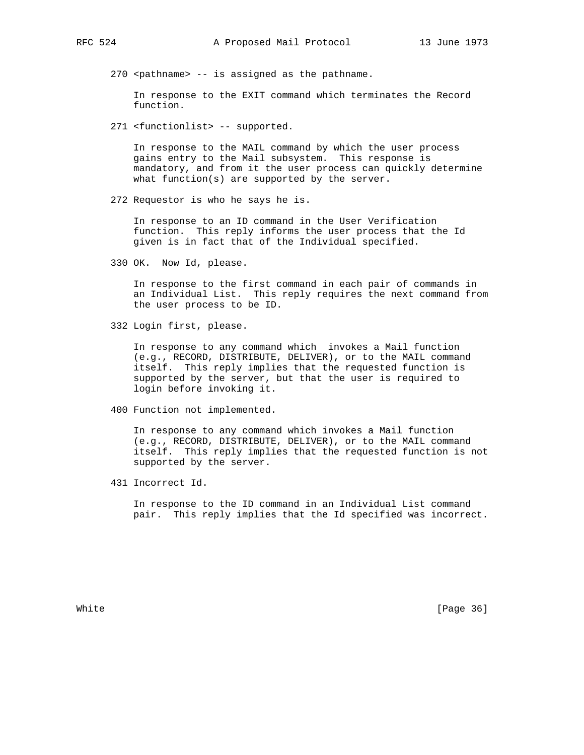270 <pathname> -- is assigned as the pathname.

 In response to the EXIT command which terminates the Record function.

271 <functionlist> -- supported.

 In response to the MAIL command by which the user process gains entry to the Mail subsystem. This response is mandatory, and from it the user process can quickly determine what function(s) are supported by the server.

272 Requestor is who he says he is.

 In response to an ID command in the User Verification function. This reply informs the user process that the Id given is in fact that of the Individual specified.

330 OK. Now Id, please.

 In response to the first command in each pair of commands in an Individual List. This reply requires the next command from the user process to be ID.

332 Login first, please.

 In response to any command which invokes a Mail function (e.g., RECORD, DISTRIBUTE, DELIVER), or to the MAIL command itself. This reply implies that the requested function is supported by the server, but that the user is required to login before invoking it.

400 Function not implemented.

 In response to any command which invokes a Mail function (e.g., RECORD, DISTRIBUTE, DELIVER), or to the MAIL command itself. This reply implies that the requested function is not supported by the server.

431 Incorrect Id.

 In response to the ID command in an Individual List command pair. This reply implies that the Id specified was incorrect.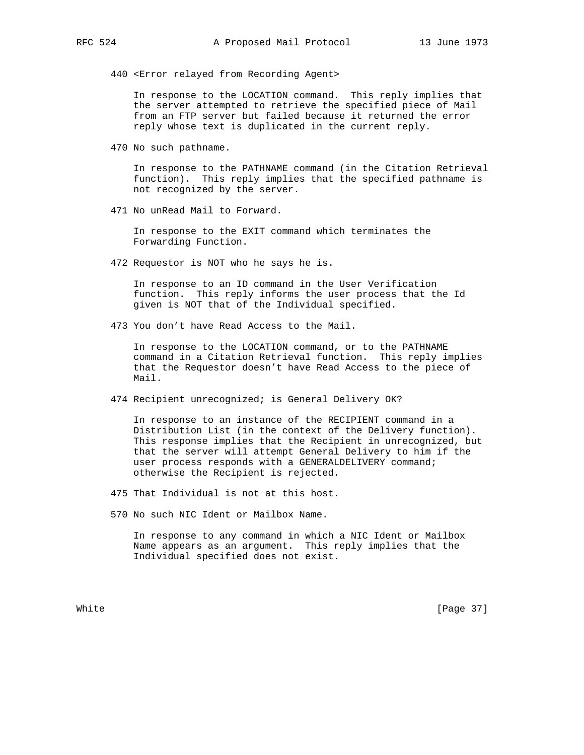440 <Error relayed from Recording Agent>

 In response to the LOCATION command. This reply implies that the server attempted to retrieve the specified piece of Mail from an FTP server but failed because it returned the error reply whose text is duplicated in the current reply.

470 No such pathname.

 In response to the PATHNAME command (in the Citation Retrieval function). This reply implies that the specified pathname is not recognized by the server.

471 No unRead Mail to Forward.

 In response to the EXIT command which terminates the Forwarding Function.

472 Requestor is NOT who he says he is.

 In response to an ID command in the User Verification function. This reply informs the user process that the Id given is NOT that of the Individual specified.

473 You don't have Read Access to the Mail.

 In response to the LOCATION command, or to the PATHNAME command in a Citation Retrieval function. This reply implies that the Requestor doesn't have Read Access to the piece of Mail.

474 Recipient unrecognized; is General Delivery OK?

 In response to an instance of the RECIPIENT command in a Distribution List (in the context of the Delivery function). This response implies that the Recipient in unrecognized, but that the server will attempt General Delivery to him if the user process responds with a GENERALDELIVERY command; otherwise the Recipient is rejected.

- 475 That Individual is not at this host.
- 570 No such NIC Ident or Mailbox Name.

 In response to any command in which a NIC Ident or Mailbox Name appears as an argument. This reply implies that the Individual specified does not exist.

White [Page 37]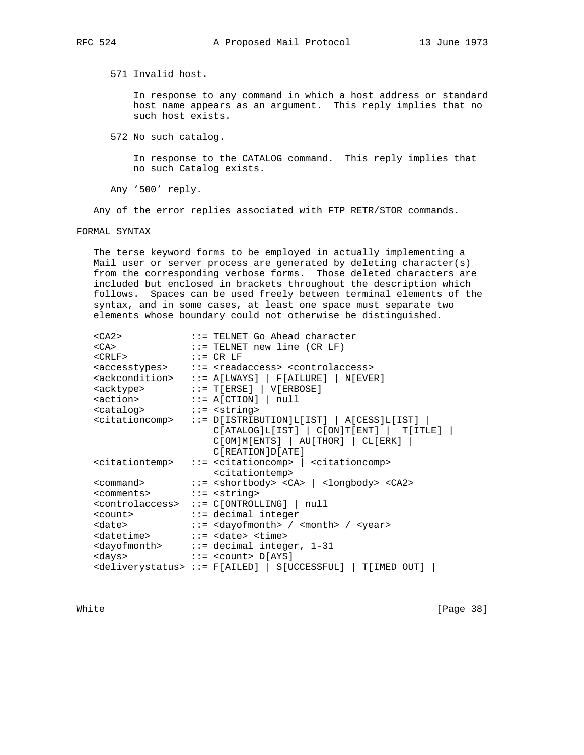571 Invalid host.

 In response to any command in which a host address or standard host name appears as an argument. This reply implies that no such host exists.

572 No such catalog.

 In response to the CATALOG command. This reply implies that no such Catalog exists.

Any '500' reply.

Any of the error replies associated with FTP RETR/STOR commands.

FORMAL SYNTAX

 The terse keyword forms to be employed in actually implementing a Mail user or server process are generated by deleting character(s) from the corresponding verbose forms. Those deleted characters are included but enclosed in brackets throughout the description which follows. Spaces can be used freely between terminal elements of the syntax, and in some cases, at least one space must separate two elements whose boundary could not otherwise be distinguished.

| $<$ CA2>                                              | $\cdots$ - TELNET Go Ahead character                                                                                                                                         |
|-------------------------------------------------------|------------------------------------------------------------------------------------------------------------------------------------------------------------------------------|
| $<$ CA $>$                                            | $::=$ TELNET new line (CR LF)                                                                                                                                                |
| $\langle$ CRLF> := CR LF                              |                                                                                                                                                                              |
|                                                       | <accesstypes> ::= <readaccess> <controlaccess></controlaccess></readaccess></accesstypes>                                                                                    |
|                                                       | $\verb  :: = A[LWAYS]   F[AILURE]   N[EVER]$                                                                                                                                 |
|                                                       | $\verb  :: = T[ERSE]   V[ERBOSE] $                                                                                                                                           |
| $\texttt{}$ ::= A[CTION]   null                       |                                                                                                                                                                              |
| <catalog> ::= <string></string></catalog>             |                                                                                                                                                                              |
|                                                       | $\texttt{citationcomp}$ ::= D[ISTRIBUTION]L[IST]   A[CESS]L[IST]  <br>$C[ATALOG]L[IST]   C[ON]T[ENT]   T[ITLE]  $<br>C[OM]M[ENTS]   AU[THOR]   CL[ERK]  <br>C[REATION]D[ATE] |
|                                                       | <citationtemp> ::= <citationcomp>   <citationcomp><br/><citationtemp></citationtemp></citationcomp></citationcomp></citationtemp>                                            |
|                                                       | <command/> ::= <shortbody> <ca>   <longbody> <ca2></ca2></longbody></ca></shortbody>                                                                                         |
| <comments> ::= <string></string></comments>           |                                                                                                                                                                              |
|                                                       | <controlaccess> ::= C[ONTROLLING]   null</controlaccess>                                                                                                                     |
| <count> ::= decimal integer</count>                   |                                                                                                                                                                              |
|                                                       | <date> ::= <dayofmonth> / <month> / <year></year></month></dayofmonth></date>                                                                                                |
| <datetime> ::= <date> <time></time></date></datetime> |                                                                                                                                                                              |
|                                                       | <dayofmonth> ::= decimal integer, 1-31</dayofmonth>                                                                                                                          |
| <days> ::= <count> D[AYS]</count></days>              |                                                                                                                                                                              |
|                                                       | <deliverystatus> ::= F[AILED]   S[UCCESSFUL]   T[IMED OUT]</deliverystatus>                                                                                                  |

White [Page 38]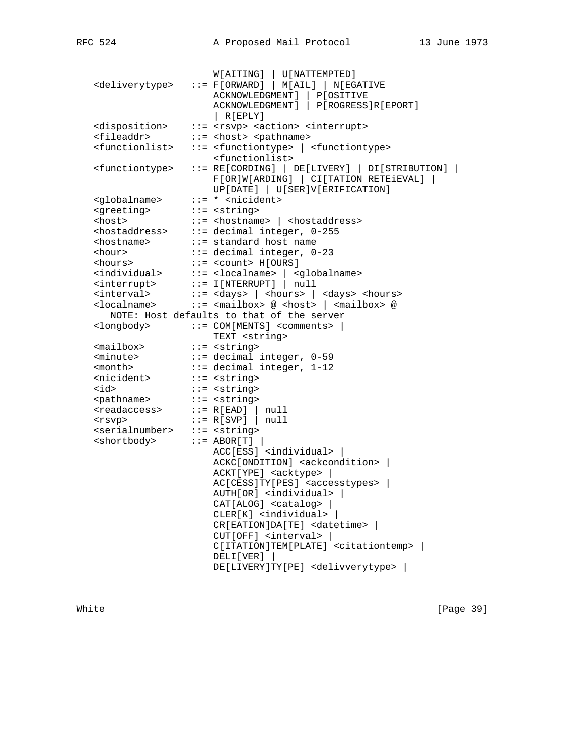| <deliverytype></deliverytype>                       | W[AITING]   U[ NATTEMPTED]<br>$::= F[ORWARD]   M[AIL]   N[EGATIVE$<br><b>ACKNOWLEDGMENT ]</b><br>P[OSITIVE<br>ACKNOWLEDGMENT]<br>P[ROGRESS]R[EPORT]<br>  R[EPLY] |
|-----------------------------------------------------|------------------------------------------------------------------------------------------------------------------------------------------------------------------|
| <disposition></disposition>                         | ::= <rsvp> <action> <interrupt></interrupt></action></rsvp>                                                                                                      |
| <fileaddr></fileaddr>                               | ::= <host> <pathname></pathname></host>                                                                                                                          |
| <functionlist></functionlist>                       | ::= <functiontype>   <functiontype></functiontype></functiontype>                                                                                                |
|                                                     | <functionlist></functionlist>                                                                                                                                    |
| <functiontype></functiontype>                       | $::= RE[CORDING]   DE[LIVERY]   DI[STRIBUTION]  $<br>F[OR]W[ARDING]   CI[TATION RETEIEVAL]<br>UP[DATE]   U[SER]V[ERIFICATION]                                    |
| <globalname></globalname>                           | $::= *$ <nicident></nicident>                                                                                                                                    |
| <greeting></greeting>                               | $::=$ <string></string>                                                                                                                                          |
| <host></host>                                       | $::=$ <hostname> <math> </math> <hostaddress></hostaddress></hostname>                                                                                           |
| <hostaddress></hostaddress>                         | ::= decimal integer, 0-255                                                                                                                                       |
| <hostname></hostname>                               | ::= standard host name                                                                                                                                           |
| <hour></hour>                                       | $::= decimal integer, 0-23$                                                                                                                                      |
| <hours></hours>                                     | $::=$ <count> <math>H[OWRS]</math></count>                                                                                                                       |
|                                                     | <individual> ::= <localname>   <globalname></globalname></localname></individual>                                                                                |
| <interrupt></interrupt>                             | $::= I[INTERRUPT]$   null                                                                                                                                        |
| <interval></interval>                               | $::= <$ days> $  <$ hours> $  <$ days> <hours></hours>                                                                                                           |
| <localname></localname>                             | $::=$ <mailbox> @ <host> <math> </math> <mailbox> @</mailbox></host></mailbox>                                                                                   |
|                                                     | NOTE: Host defaults to that of the server                                                                                                                        |
| <longbody></longbody>                               | $::=$ COM[MENTS] <comments>  <br/>TEXT <string></string></comments>                                                                                              |
| <mailbox></mailbox>                                 | $::=$ <string></string>                                                                                                                                          |
| <minute></minute>                                   | ::= decimal integer, 0-59                                                                                                                                        |
| <month></month>                                     | $::= decimal integer, 1-12$                                                                                                                                      |
| <nicident></nicident>                               | $::=$ <string></string>                                                                                                                                          |
| <id></id>                                           | $::=$ <string></string>                                                                                                                                          |
| <pathname></pathname>                               | $::=$ <string></string>                                                                                                                                          |
| <readaccess></readaccess>                           | $::= R[EAD]$   null                                                                                                                                              |
| <rsvp></rsvp>                                       | $::= R[SVP]$   null                                                                                                                                              |
| <serialnumber> ::= <string></string></serialnumber> |                                                                                                                                                                  |
| <shortbody></shortbody>                             | $::=$ ABOR[T] $ $                                                                                                                                                |
|                                                     | ACC[ESS] <individual></individual>                                                                                                                               |
|                                                     | ACKC[ONDITION] <ackcondition>  </ackcondition>                                                                                                                   |
|                                                     | ACKT[YPE] <acktype></acktype>                                                                                                                                    |
|                                                     | AC[CESS]TY[PES] <accesstypes></accesstypes>                                                                                                                      |
|                                                     | AUTH[OR] <individual>  </individual>                                                                                                                             |
|                                                     | $CAT[ALOG]$ < $catalog$ > $ $                                                                                                                                    |
|                                                     | CLER[K] <individual></individual>                                                                                                                                |
|                                                     | CR[EATION]DA[TE] <datetime></datetime>                                                                                                                           |
|                                                     | CUT[OFF] <interval></interval>                                                                                                                                   |
|                                                     | C[ITATION]TEM[PLATE] <citationtemp>  </citationtemp>                                                                                                             |
|                                                     | DELI[VER]                                                                                                                                                        |
|                                                     | DE[LIVERY]TY[PE] <delivverytype></delivverytype>                                                                                                                 |

White [Page 39]